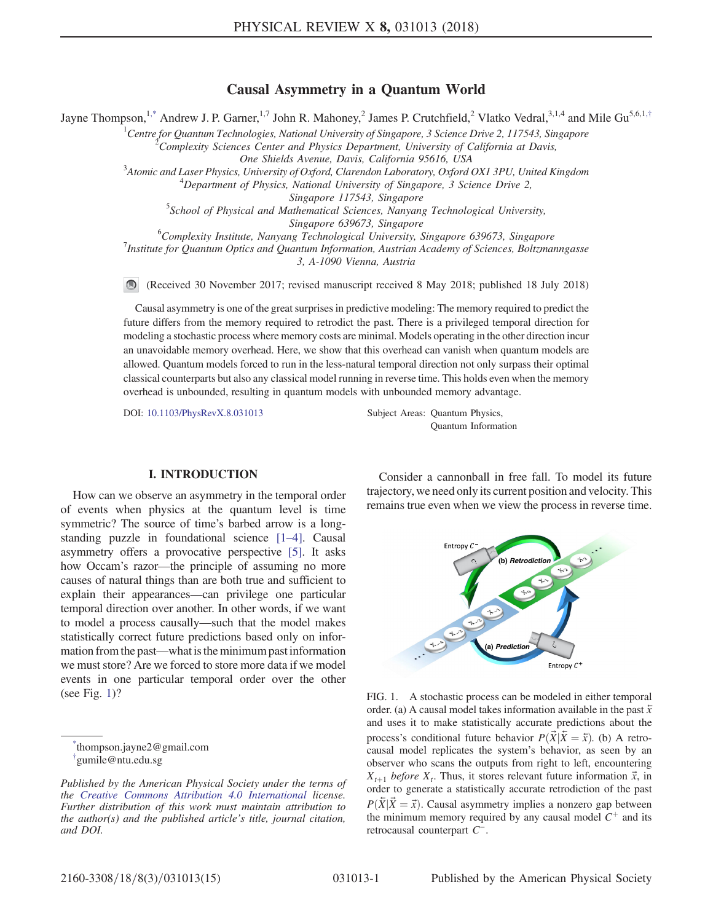# Causal Asymmetry in a Quantum World

<span id="page-0-3"></span>Jayne Thompson,<sup>[1,\\*](#page-0-0)</sup> Andrew J. P. Garner,<sup>1,7</sup> John R. Mahoney,<sup>2</sup> James P. Crutchfield,<sup>2</sup> Vlatko Vedral,<sup>3,1,4</sup> and Mile Gu<sup>5,6,1,[†](#page-0-1)</sup>

<sup>1</sup>Centre for Quantum Technologies, National University of Singapore, 3 Science Drive 2, 117543, Singapore Complexity Sciences Center and Physics Department, University of California at Davis,

One Shields Avenue, Davis, California 95616, USA<br><sup>3</sup>Atomie and Laser Physics, University of Oxford, Clarendon Laboratory, Oxford Atomic and Laser Physics, University of Oxford, Clarendon Laboratory, Oxford OX1 3PU, United Kingdom<br><sup>4</sup> Department of Physics, National University of Singapore, <sup>2</sup> Science Drive 2

 $^{4}$ Department of Physics, National University of Singapore, 3 Science Drive 2,

Singapore 117543, Singapore<br>School of Physical and Mathematical Sciences, Nanyang Technological University,

Singapore 639673, Singapore<br><sup>6</sup>Complexin: Institute Nanyone Technological University

<sup>o</sup>Complexity Institute, Nanyang Technological University, Singapore 639673, Singapore<br><sup>7</sup>Institute for Quantum Optics and Quantum Information, Austrian Asadamy of Sciences, Boltana

<sup>7</sup>Institute for Quantum Optics and Quantum Information, Austrian Academy of Sciences, Boltzmanngasse 3, A-1090 Vienna, Austria

 $\bigcirc$ (Received 30 November 2017; revised manuscript received 8 May 2018; published 18 July 2018)

Causal asymmetry is one of the great surprises in predictive modeling: The memory required to predict the future differs from the memory required to retrodict the past. There is a privileged temporal direction for modeling a stochastic process where memory costs are minimal. Models operating in the other direction incur an unavoidable memory overhead. Here, we show that this overhead can vanish when quantum models are allowed. Quantum models forced to run in the less-natural temporal direction not only surpass their optimal classical counterparts but also any classical model running in reverse time. This holds even when the memory overhead is unbounded, resulting in quantum models with unbounded memory advantage.

DOI: [10.1103/PhysRevX.8.031013](https://doi.org/10.1103/PhysRevX.8.031013) Subject Areas: Quantum Physics, Quantum Information

## I. INTRODUCTION

How can we observe an asymmetry in the temporal order of events when physics at the quantum level is time symmetric? The source of time's barbed arrow is a longstanding puzzle in foundational science [1–[4\].](#page-12-0) Causal asymmetry offers a provocative perspective [\[5\]](#page-12-1). It asks how Occam's razor—the principle of assuming no more causes of natural things than are both true and sufficient to explain their appearances—can privilege one particular temporal direction over another. In other words, if we want to model a process causally—such that the model makes statistically correct future predictions based only on information from the past—what is the minimum past information we must store? Are we forced to store more data if we model events in one particular temporal order over the other (see Fig. [1](#page-0-2))?

<span id="page-0-1"></span><span id="page-0-0"></span>[\\*](#page-0-3) thompson.jayne2@gmail.com [†](#page-0-3) gumile@ntu.edu.sg

Consider a cannonball in free fall. To model its future trajectory, we need only its current position and velocity. This remains true even when we view the process in reverse time.

<span id="page-0-2"></span>

FIG. 1. A stochastic process can be modeled in either temporal order. (a) A causal model takes information available in the past  $\bar{x}$ and uses it to make statistically accurate predictions about the process's conditional future behavior  $P(\vec{X}|\vec{X} = \vec{x})$ . (b) A retrocausal model replicates the system's behavior, as seen by an observer who scans the outputs from right to left, encountering  $X_{t+1}$  before  $X_t$ . Thus, it stores relevant future information  $\vec{x}$ , in order to generate a statistically accurate retrodiction of the past  $P(\overline{X}|\overline{X} = \overline{x})$ . Causal asymmetry implies a nonzero gap between the minimum memory required by any causal model  $C^+$  and its retrocausal counterpart C<sup>−</sup>.

Published by the American Physical Society under the terms of the [Creative Commons Attribution 4.0 International](https://creativecommons.org/licenses/by/4.0/) license. Further distribution of this work must maintain attribution to the author(s) and the published article's title, journal citation, and DOI.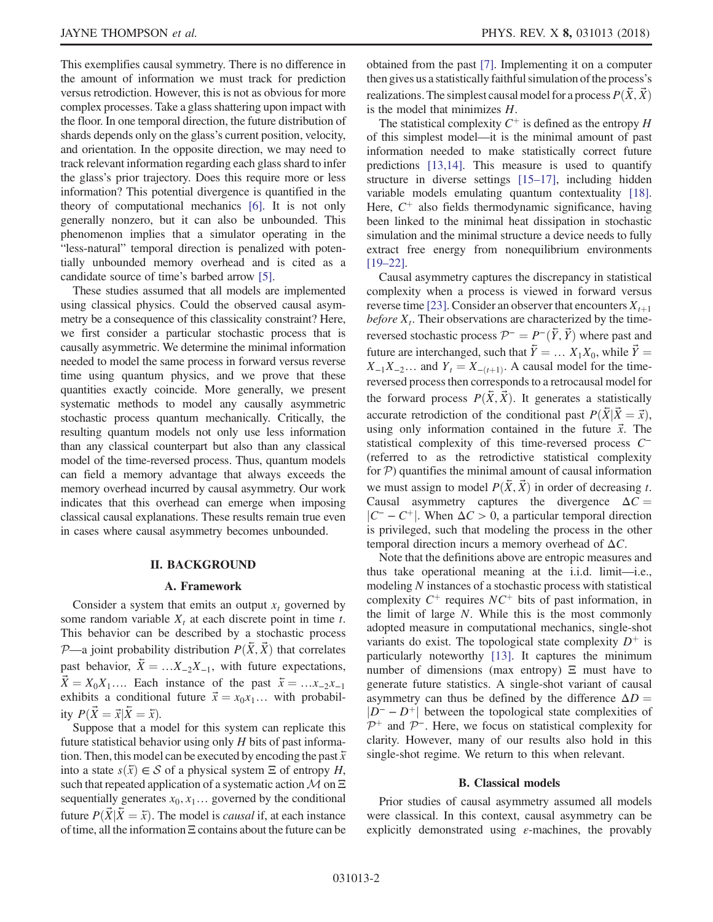This exemplifies causal symmetry. There is no difference in the amount of information we must track for prediction versus retrodiction. However, this is not as obvious for more complex processes. Take a glass shattering upon impact with the floor. In one temporal direction, the future distribution of shards depends only on the glass's current position, velocity, and orientation. In the opposite direction, we may need to track relevant information regarding each glass shard to infer the glass's prior trajectory. Does this require more or less information? This potential divergence is quantified in the theory of computational mechanics [\[6\]](#page-12-2). It is not only generally nonzero, but it can also be unbounded. This phenomenon implies that a simulator operating in the "less-natural" temporal direction is penalized with potentially unbounded memory overhead and is cited as a candidate source of time's barbed arrow [\[5\].](#page-12-1)

These studies assumed that all models are implemented using classical physics. Could the observed causal asymmetry be a consequence of this classicality constraint? Here, we first consider a particular stochastic process that is causally asymmetric. We determine the minimal information needed to model the same process in forward versus reverse time using quantum physics, and we prove that these quantities exactly coincide. More generally, we present systematic methods to model any causally asymmetric stochastic process quantum mechanically. Critically, the resulting quantum models not only use less information than any classical counterpart but also than any classical model of the time-reversed process. Thus, quantum models can field a memory advantage that always exceeds the memory overhead incurred by causal asymmetry. Our work indicates that this overhead can emerge when imposing classical causal explanations. These results remain true even in cases where causal asymmetry becomes unbounded.

### II. BACKGROUND

### A. Framework

Consider a system that emits an output  $x_t$  governed by some random variable  $X_t$  at each discrete point in time t. This behavior can be described by a stochastic process  $P$ —a joint probability distribution  $P(\bar{X}, \bar{X})$  that correlates past behavior,  $\overline{X} = ... X_{-2}X_{-1}$ , with future expectations,  $\vec{X} = X_0 X_1 \dots$  Each instance of the past  $\vec{x} = \dots x_{-2} x_{-1}$ exhibits a conditional future  $\vec{x} = x_0 x_1 ...$  with probability  $P(\vec{X} = \vec{x} | \vec{X} = \vec{x})$ .

Suppose that a model for this system can replicate this future statistical behavior using only  $H$  bits of past information. Then, this model can be executed by encoding the past  $\bar{x}$ into a state  $s(\bar{x}) \in S$  of a physical system  $\Xi$  of entropy H, such that repeated application of a systematic action  $\mathcal M$  on  $\Xi$ sequentially generates  $x_0, x_1, \ldots$  governed by the conditional future  $P(\vec{X}|\vec{X} = \vec{x})$ . The model is *causal* if, at each instance of time, all the information Ξ contains about the future can be obtained from the past [\[7\]](#page-12-3). Implementing it on a computer then gives us a statistically faithful simulation of the process's realizations. The simplest causal model for a process  $P(\bar{X}, \bar{X})$ is the model that minimizes H.

The statistical complexity  $C^+$  is defined as the entropy H of this simplest model—it is the minimal amount of past information needed to make statistically correct future predictions [\[13,14\]](#page-12-4). This measure is used to quantify structure in diverse settings [15–[17\],](#page-12-5) including hidden variable models emulating quantum contextuality [\[18\]](#page-12-6). Here,  $C^+$  also fields thermodynamic significance, having been linked to the minimal heat dissipation in stochastic simulation and the minimal structure a device needs to fully extract free energy from nonequilibrium environments [19–[22\].](#page-12-7)

Causal asymmetry captures the discrepancy in statistical complexity when a process is viewed in forward versus reverse time [\[23\].](#page-13-0) Consider an observer that encounters  $X_{t+1}$ before  $X_t$ . Their observations are characterized by the timereversed stochastic process  $\mathcal{P}^- = P^-(\bar{Y}, \bar{Y})$  where past and future are interchanged, such that  $\overline{Y} = ... X_1 X_0$ , while  $\overrightarrow{Y} =$  $X_{-1}X_{-2}...$  and  $Y_t = X_{-(t+1)}$ . A causal model for the timereversed process then corresponds to a retrocausal model for the forward process  $P(\bar{X}, \bar{X})$ . It generates a statistically accurate retrodiction of the conditional past  $P(\bar{X}|\bar{X} = \bar{x})$ , using only information contained in the future  $\vec{x}$ . The statistical complexity of this time-reversed process C<sup>−</sup> (referred to as the retrodictive statistical complexity for  $P$ ) quantifies the minimal amount of causal information we must assign to model  $P(\bar{X}, \bar{X})$  in order of decreasing t. Causal asymmetry captures the divergence  $\Delta C =$  $|C^- - C^+|$ . When  $\Delta C > 0$ , a particular temporal direction is privileged, such that modeling the process in the other temporal direction incurs a memory overhead of  $\Delta C$ .

Note that the definitions above are entropic measures and thus take operational meaning at the i.i.d. limit—i.e., modeling N instances of a stochastic process with statistical complexity  $C^+$  requires  $NC^+$  bits of past information, in the limit of large N. While this is the most commonly adopted measure in computational mechanics, single-shot variants do exist. The topological state complexity  $D^+$  is particularly noteworthy [\[13\]](#page-12-4). It captures the minimum number of dimensions (max entropy)  $\Xi$  must have to generate future statistics. A single-shot variant of causal asymmetry can thus be defined by the difference  $\Delta D =$  $|D^-\, - D^+|$  between the topological state complexities of  $\mathcal{P}^+$  and  $\mathcal{P}^-$ . Here, we focus on statistical complexity for clarity. However, many of our results also hold in this single-shot regime. We return to this when relevant.

### B. Classical models

Prior studies of causal asymmetry assumed all models were classical. In this context, causal asymmetry can be explicitly demonstrated using  $\varepsilon$ -machines, the provably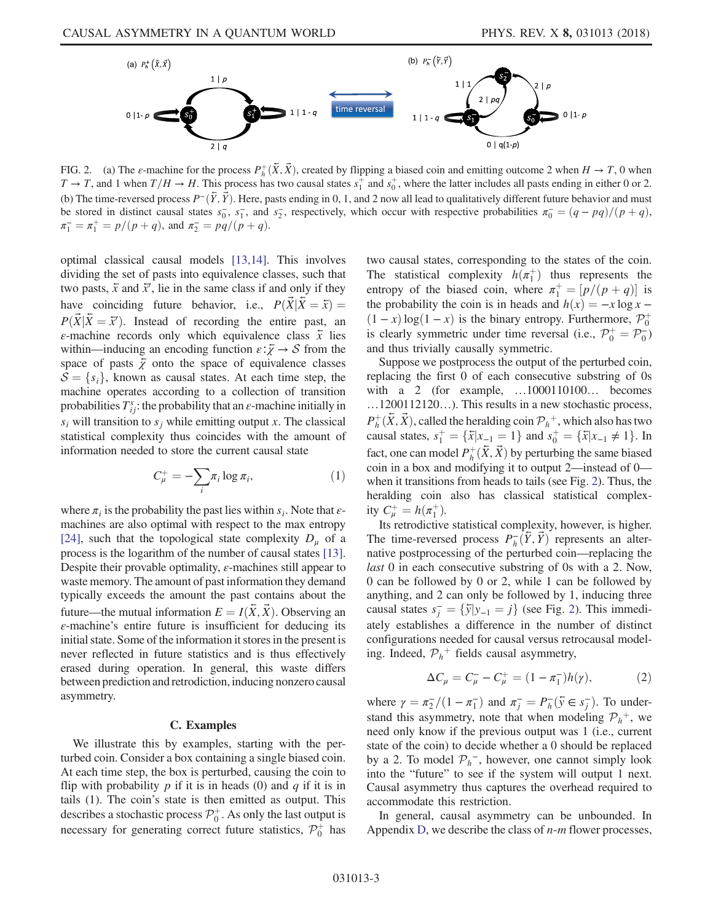<span id="page-2-0"></span>

FIG. 2. (a) The  $\varepsilon$ -machine for the process  $P^+_n(\bar{X}, \bar{X})$ , created by flipping a biased coin and emitting outcome 2 when  $H \to T$ , 0 when  $T \to T$  and 1 when  $T/H \to H$ . This process has two causal states  $s^+$  and  $s^+$  wh  $T \to T$ , and 1 when  $T/H \to H$ . This process has two causal states  $s_1^+$  and  $s_0^+$ , where the latter includes all pasts ending in either 0 or 2. (b) The time-reversed process  $P^-(\bar{Y}, \bar{Y})$ . Here, pasts ending in 0, 1, and 2 now all lead to qualitatively different future behavior and must be stored in distinct causal states  $s_0^-, s_1^-,$  and  $s_2^-,$  respectively, which occur with respective probabilities  $\pi_0^-(q - pq)/(p + q)$ ,<br> $\pi^- - \pi^+ - n/(p + q)$  and  $\pi^- - nq/(p + q)$  $\pi_1^- = \pi_1^+ = p/(p+q)$ , and  $\pi_2^- = pq/(p+q)$ .

optimal classical causal models [\[13,14\].](#page-12-4) This involves dividing the set of pasts into equivalence classes, such that two pasts,  $\bar{x}$  and  $\bar{x}'$ , lie in the same class if and only if they have coinciding future behavior, i.e.,  $P(\vec{X}|\vec{X} = \vec{x}) =$  $P(\vec{X} | \vec{X} = \vec{x}')$ . Instead of recording the entire past, and  $\varepsilon$ -machine records only which equivalence class  $\hat{x}$  lies  $\varepsilon$ -machine records only which equivalence class  $\bar{x}$  lies within—inducing an encoding function  $\varepsilon:\bar{\chi}\to S$  from the space of pasts  $\overline{\chi}$  onto the space of equivalence classes  $S = \{s_i\}$ , known as causal states. At each time step, the machine operates according to a collection of transition probabilities  $T_{ii}^x$ : the probability that an  $\varepsilon$ -machine initially in  $s_i$  will transition to  $s_j$  while emitting output x. The classical statistical complexity thus coincides with the amount of information needed to store the current causal state

$$
C_{\mu}^{+} = -\sum_{i} \pi_{i} \log \pi_{i}, \qquad (1)
$$

where  $\pi_i$  is the probability the past lies within  $s_i$ . Note that  $\varepsilon$ machines are also optimal with respect to the max entropy [\[24\]](#page-13-1), such that the topological state complexity  $D_u$  of a process is the logarithm of the number of causal states [\[13\]](#page-12-4). Despite their provable optimality,  $\varepsilon$ -machines still appear to waste memory. The amount of past information they demand typically exceeds the amount the past contains about the future—the mutual information  $E = I(\bar{X}, \bar{X})$ . Observing an  $\varepsilon$ -machine's entire future is insufficient for deducing its initial state. Some of the information it stores in the present is never reflected in future statistics and is thus effectively erased during operation. In general, this waste differs between prediction and retrodiction, inducing nonzero causal asymmetry.

## C. Examples

We illustrate this by examples, starting with the perturbed coin. Consider a box containing a single biased coin. At each time step, the box is perturbed, causing the coin to flip with probability  $p$  if it is in heads (0) and  $q$  if it is in tails (1). The coin's state is then emitted as output. This describes a stochastic process  $\mathcal{P}_0^+$ . As only the last output is necessary for generating correct future statistics,  $\mathcal{P}_0^+$  has two causal states, corresponding to the states of the coin. The statistical complexity  $h(\pi_1^+)$  thus represents the entropy of the biased coin where  $\pi^+ = [n/(n+a)]$  is entropy of the biased coin, where  $\pi_1^+ = [p/(p+q)]$  is<br>the probability the coin is in heads and  $h(x) = -x \log x$ . the probability the coin is in heads and  $h(x) = -x \log x (1-x) \log(1-x)$  is the binary entropy. Furthermore,  $\mathcal{P}_0^+$ <br>is clearly symmetric under time reversal (i.e.  $\mathcal{D}^+ - \mathcal{D}^-$ ) is clearly symmetric under time reversal (i.e.,  $\mathcal{P}_0^+ = \mathcal{P}_0^-$ )<br>and thus trivially causally symmetric and thus trivially causally symmetric.

Suppose we postprocess the output of the perturbed coin, replacing the first 0 of each consecutive substring of 0s with a 2 (for example, …1000110100… becomes …1200112120…). This results in a new stochastic process,  $P_h^+(\bar{X}, \vec{X})$ , called the heralding coin  $\mathcal{P}_h^+$ , which also has two<br>causal states  $s^+ = \{\bar{x} | x_+ = 1\}$  and  $s^+ = \{\bar{x} | x_+ \neq 1\}$ . In causal states,  $s_1^+ = \{\bar{x}|x_{-1} = 1\}$  and  $s_0^+ = \{\bar{x}|x_{-1} \neq 1\}$ . In fact, one can model  $P^+_n(\bar{X}, \bar{X})$  by perturbing the same biased<br>coin in a box and modifying it to output 2—instead of 0 coin in a box and modifying it to output 2—instead of 0 when it transitions from heads to tails (see Fig. [2](#page-2-0)). Thus, the heralding coin also has classical statistical complexity  $C_{\mu}^{+} = h(\pi_1^{+})$ .<br>Its retrodictive

Its retrodictive statistical complexity, however, is higher. The time-reversed process  $P_h^-(\bar{Y}, \vec{Y})$  represents an alter-<br>native postprocessing of the perturbed coin—replacing the native postprocessing of the perturbed coin—replacing the last 0 in each consecutive substring of 0s with a 2. Now, 0 can be followed by 0 or 2, while 1 can be followed by anything, and 2 can only be followed by 1, inducing three causal states  $s_j^- = \{ \bar{y} | y_{-1} = j \}$  (see Fig. [2\)](#page-2-0). This immedi-<br>otely establishes a difference in the number of distinct ately establishes a difference in the number of distinct configurations needed for causal versus retrocausal modeling. Indeed,  $P_h^+$  fields causal asymmetry,

$$
\Delta C_{\mu} = C_{\mu}^- - C_{\mu}^+ = (1 - \pi_1^-)h(\gamma), \tag{2}
$$

where  $\gamma = \pi_2^2/(1 - \pi_1^2)$  and  $\pi_j^2 = P_{\bar{h}}(\bar{y} \in s_j^2)$ . To under-<br>stand this asymmetry, note that when modeling  $\mathcal{D}^+$  we stand this asymmetry, note that when modeling  $\mathcal{P}_h^+$ , we need only know if the previous output was 1 (i.e., current state of the coin) to decide whether a 0 should be replaced by a 2. To model  $\mathcal{P}_h^-$ , however, one cannot simply look into the "future" to see if the system will output 1 next. Causal asymmetry thus captures the overhead required to accommodate this restriction.

In general, causal asymmetry can be unbounded. In Appendix [D,](#page-11-0) we describe the class of  $n-m$  flower processes,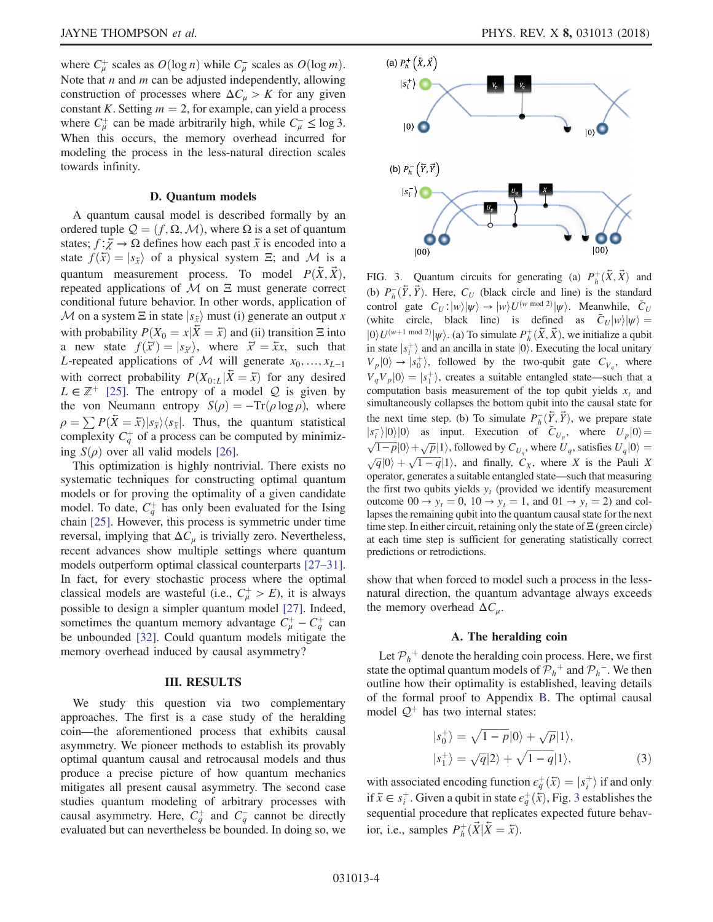where  $C^{\perp}_{\mu}$  scales as  $O(\log n)$  while  $C^{\perp}_{\mu}$  scales as  $O(\log m)$ .<br>Note that *n* and *m* can be adjusted independently allowing Note that  $n$  and  $m$  can be adjusted independently, allowing construction of processes where  $\Delta C_{\mu} > K$  for any given constant K. Setting  $m = 2$ , for example, can yield a process where  $C^+_{\mu}$  can be made arbitrarily high, while  $C^-_{\mu} \le \log 3$ . When this occurs, the memory overhead incurred for modeling the process in the less-natural direction scales towards infinity.

### D. Quantum models

A quantum causal model is described formally by an ordered tuple  $\mathcal{Q} = (f, \Omega, \mathcal{M})$ , where  $\Omega$  is a set of quantum states;  $f: \overline{\chi} \to \Omega$  defines how each past  $\overline{x}$  is encoded into a state  $f(\bar{x}) = |s_{\bar{x}}\rangle$  of a physical system Ξ; and M is a quantum measurement process. To model  $P(X, X)$ , repeated applications of  $M$  on  $\Xi$  must generate correct conditional future behavior. In other words, application of M on a system  $\Xi$  in state  $|s_{\overline{x}}\rangle$  must (i) generate an output x with probability  $P(X_0 = x | \overline{X} = \overline{x})$  and (ii) transition  $\Xi$  into a new state  $f(\vec{x}) = |s_{\vec{x}}\rangle$ , where  $\vec{x} = \vec{x}x$ , such that <br>*I*-repeated applications of *M* will generate  $x_0$ ,  $y_0$ L-repeated applications of M will generate  $x_0, \ldots, x_{L-1}$ with correct probability  $P(X_{0:L}|\bar{X} = \bar{x})$  for any desired  $L \in \mathbb{Z}^+$  [\[25\]](#page-13-2). The entropy of a model Q is given by the von Neumann entropy  $S(\rho) = -\text{Tr}(\rho \log \rho)$ , where  $\rho = \sum P(\bar{X} = \bar{x})|s_{\bar{x}}\rangle\langle s_{\bar{x}}|$ . Thus, the quantum statistical complexity  $C_q^+$  of a process can be computed by minimizing  $S(\rho)$  over all valid models [\[26\].](#page-13-3)

This optimization is highly nontrivial. There exists no systematic techniques for constructing optimal quantum models or for proving the optimality of a given candidate model. To date,  $C_q^+$  has only been evaluated for the Ising chain [\[25\].](#page-13-2) However, this process is symmetric under time reversal, implying that  $\Delta C_{\mu}$  is trivially zero. Nevertheless, recent advances show multiple settings where quantum models outperform optimal classical counterparts [\[27](#page-13-4)–31]. In fact, for every stochastic process where the optimal classical models are wasteful (i.e.,  $C^+_{\mu} > E$ ), it is always possible to design a simpler quantum model [\[27\]](#page-13-4). Indeed, sometimes the quantum memory advantage  $C^+_\mu - C^+_q$  can be unbounded [\[32\]](#page-13-5). Could quantum models mitigate the memory overhead induced by causal asymmetry?

### III. RESULTS

We study this question via two complementary approaches. The first is a case study of the heralding coin—the aforementioned process that exhibits causal asymmetry. We pioneer methods to establish its provably optimal quantum causal and retrocausal models and thus produce a precise picture of how quantum mechanics mitigates all present causal asymmetry. The second case studies quantum modeling of arbitrary processes with causal asymmetry. Here,  $C_q^+$  and  $C_q^-$  cannot be directly evaluated but can nevertheless be bounded. In doing so, we

<span id="page-3-0"></span>

FIG. 3. Quantum circuits for generating (a)  $P^+_{h}(\bar{X}, \vec{X})$  and<br>(b)  $P^{-}(\bar{X}, \vec{Y})$  Here *G*, (block girals and line) is the standard (b)  $P_{\overline{h}}(\overline{Y}, \overrightarrow{Y})$ . Here,  $C_U$  (black circle and line) is the standard control and  $C_{\overline{h}}$  when  $U^{(w \mod 2)|w|}$ . Moonwhile,  $\overline{C}_{\overline{h}}$ control gate  $C_U$ : $|w\rangle$  $|w\rangle \rightarrow |w\rangle$  $U^{(w \mod 2)}|w\rangle$ . Meanwhile,  $\bar{C}_U$ <br>(white circle black line) is defined as  $\bar{C}_{\text{rel}}|w\rangle|w\rangle$ (white circle, black line) is defined as  $\bar{C}_U|w\rangle|w\rangle =$  $|0\rangle U^{(w+1 \mod 2)}|\psi\rangle$ . (a) To simulate  $P_h^+(\bar{X}, \vec{X})$ , we initialize a qubit in state  $|s^+\rangle$  and an ancilla in state  $|0\rangle$ . Executing the local unitary in state  $|s_i^+\rangle$  and an ancilla in state  $|0\rangle$ . Executing the local unitary  $V |0\rangle \rightarrow |s^+\rangle$  followed by the two-cubit aste  $C_{\text{tot}}$  where  $V_p|0\rangle \rightarrow |\mathfrak{s}_0^+\rangle$ , followed by the two-qubit gate  $C_{V_q}$ , where  $V_q V_p |0\rangle = |s_1^+\rangle$ , creates a suitable entangled state—such that a<br>computation basis measurement of the top qubit vields x, and computation basis measurement of the top qubit yields  $x_t$  and simultaneously collapses the bottom qubit into the causal state for the next time step. (b) To simulate  $P_{h}^{-}(\bar{Y}, \vec{Y})$ , we prepare state<br> $\left| \int_{0}^{+\infty} |h(x)|^{p(x)} dx \right|$  in Execution of  $\bar{C}$  where  $\left| \int_{0}^{+\infty} |h(x)|^{p(x)} dx \right|$  $|s_i^{-}\rangle|0\rangle|0\rangle$  as input. Execution of  $\bar{C}_{U_p}$ , where  $U_p|0\rangle = \sqrt{1-p}|0\rangle + \sqrt{p}|1\rangle$ , followed by  $C_{U_p}$ , where  $U_q$ , satisfies  $U_q|0\rangle =$  $\sqrt{1-p}|0\rangle + \sqrt{p}|1\rangle$ , followed by  $C_{U_q}$ , where  $U_q$ , satisfies  $U_q|0\rangle = \sqrt{q}|0\rangle + \sqrt{1-q}|1\rangle$ , and finally,  $C_X$ , where X is the Pauli X  $\sqrt{q}$ (0) +  $\sqrt{1-q}$ (1), and finally,  $C_X$ , where X is the Pauli X operator, generates a suitable entangled state—such that measuring the first two qubits yields  $y_t$  (provided we identify measurement outcome  $00 \rightarrow y_t = 0$ ,  $10 \rightarrow y_t = 1$ , and  $01 \rightarrow y_t = 2$ ) and collapses the remaining qubit into the quantum causal state for the next time step. In either circuit, retaining only the state of Ξ (green circle) at each time step is sufficient for generating statistically correct predictions or retrodictions.

show that when forced to model such a process in the lessnatural direction, the quantum advantage always exceeds the memory overhead  $\Delta C_u$ .

### A. The heralding coin

<span id="page-3-1"></span>Let  $\mathcal{P}_h^+$  denote the heralding coin process. Here, we first state the optimal quantum models of  $\mathcal{P}_h^+$  and  $\mathcal{P}_h^-$ . We then outline how their optimality is established, leaving details of the formal proof to Appendix [B.](#page-8-0) The optimal causal model  $\mathcal{Q}^+$  has two internal states:

$$
|s_0^+\rangle = \sqrt{1-p}|0\rangle + \sqrt{p}|1\rangle,
$$
  
\n
$$
|s_1^+\rangle = \sqrt{q}|2\rangle + \sqrt{1-q}|1\rangle,
$$
\n(3)

with associated encoding function  $\epsilon_q^+(\bar{x}) = |s_i^+\rangle$  if and only if  $\bar{x} \in \epsilon_q^+$ . Given a qubit in otate  $\epsilon_q^+(\bar{x})$ . Fig. 3 ostablishes the if  $\bar{x} \in s_i^+$ . Given a qubit in state  $\epsilon_q^+(\dot{\bar{x}})$ , Fig. [3](#page-3-0) establishes the sequential procedure that replicates expected future behavsequential procedure that replicates expected future behavior, i.e., samples  $P_h^+(\vec{X}|\vec{X} = \vec{x})$ .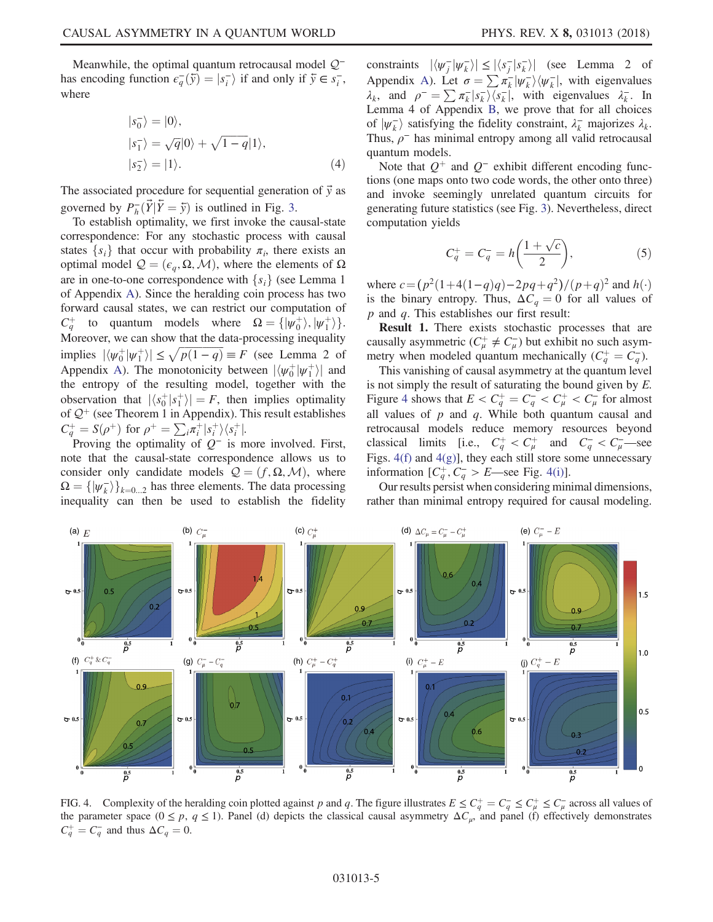<span id="page-4-1"></span>Meanwhile, the optimal quantum retrocausal model  $Q$ <sup>−</sup> has encoding function  $\epsilon_q^-(\bar{y}) = |s_i^-\rangle$  if and only if  $\bar{y} \in s_i^-$ , where

$$
|s_0^-\rangle = |0\rangle,
$$
  
\n
$$
|s_1^-\rangle = \sqrt{q}|0\rangle + \sqrt{1-q}|1\rangle,
$$
  
\n
$$
|s_2^-\rangle = |1\rangle.
$$
 (4)

The associated procedure for sequential generation of  $\vec{y}$  as governed by  $P_{\overline{h}}(\vec{Y}|\vec{Y}=\vec{y})$  is outlined in Fig. [3](#page-3-0).<br>To establish optimality we first invoke the ca

To establish optimality, we first invoke the causal-state correspondence: For any stochastic process with causal states  $\{s_i\}$  that occur with probability  $\pi_i$ , there exists an optimal model  $Q = (ε<sub>q</sub>, Ω, M)$ , where the elements of Ω are in one-to-one correspondence with  $\{s_i\}$  (see Lemma 1) of Appendix [A\)](#page-7-0). Since the heralding coin process has two forward causal states, we can restrict our computation of  $C_q^+$  $\frac{d}{dx}$  to quantum models where  $\Omega = {\psi_0^+}, {\psi_1^+}$ . Moreover, we can show that the data-processing inequality implies  $|\langle \psi_0^+ | \psi_1^+ \rangle| \le \sqrt{p(1-q)} \equiv F$  (see Lemma 2 of [A](#page-7-0)ppendix A). The monotonicity between  $|\langle \psi_0^+ | \psi_1^+ \rangle|$  and the entropy of the resulting model together with the the entropy of the resulting model, together with the observation that  $|\langle s_0^+ | s_1^+ \rangle| = F$ , then implies optimality<br>of  $O^+$  (see Theorem 1 in Appendix). This result establishes of  $\mathcal{Q}^+$  (see Theorem 1 in Appendix). This result establishes  $C_q^+ = S(\rho^+)$  for  $\rho^+ = \sum_i \pi_i^+ |s_i^+\rangle \langle s_i^+|$ .<br>Proving the optimality of  $Q^-$  is m

Proving the optimality of  $Q^-$  is more involved. First, note that the causal-state correspondence allows us to consider only candidate models  $Q = (f, \Omega, \mathcal{M})$ , where  $\Omega = \{ |\psi_k^-\rangle \}_{k=0...2}$  has three elements. The data processing<br>inequality can then be used to establish the fidelity inequality can then be used to establish the fidelity

constraints  $|\langle \psi_{\overline{i}} | \psi_{\overline{k}} \rangle| \le |\langle s_{\overline{j}} | s_{\overline{k}} \rangle|$  (see Lemma 2 of Appendix [A\)](#page-7-0). Let  $\sigma = \sum \pi_k^- |\psi_k^- \rangle \langle \psi_k^-|$ , with eigenvalues  $\lambda$ - In  $\lambda_k$ , and  $\rho = \sum \pi_k |s_k\rangle \langle s_k|$ , with eigenvalues  $\lambda_k$ . In I emma 4 of Annendix B, we prove that for all choices Lemma 4 of Appendix [B](#page-8-0), we prove that for all choices of  $|\psi_k\rangle$  satisfying the fidelity constraint,  $\lambda_k$  majorizes  $\lambda_k$ .<br>Thus  $\rho^-$  has minimal entropy among all valid retrocausal Thus,  $\rho^-$  has minimal entropy among all valid retrocausal quantum models.

Note that  $Q^+$  and  $Q^-$  exhibit different encoding functions (one maps onto two code words, the other onto three) and invoke seemingly unrelated quantum circuits for generating future statistics (see Fig. [3\)](#page-3-0). Nevertheless, direct computation yields

$$
C_q^+ = C_q^- = h\left(\frac{1+\sqrt{c}}{2}\right),\tag{5}
$$

where  $c = (p^2(1+4(1-q)q) - 2pq+q^2)/(p+q)^2$  and  $h(\cdot)$ is the binary entropy. Thus,  $\Delta C_q = 0$  for all values of  $p$  and  $q$ . This establishes our first result:

Result 1. There exists stochastic processes that are causally asymmetric ( $C^+_\mu \neq C^-_\mu$ ) but exhibit no such asymmetry when modeled quantum mechanically  $(C_q^+ = C_q^-)$ .<br>This vanishing of causal asymmetry at the quantum leve

This vanishing of causal asymmetry at the quantum level is not simply the result of saturating the bound given by  $E$ . Figure [4](#page-4-0) shows that  $E < C_q^+ = C_q^- < C_\mu^+ < C_\mu^-$  for almost all values of n and g. While both quantum causal and all values of  $p$  and  $q$ . While both quantum causal and retrocausal models reduce memory resources beyond classical limits [i.e.,  $C_q^+ < C_\mu^+$  and  $C_q^- < C_\mu^-$  see Figs. [4\(f\)](#page-4-0) and [4\(g\)\]](#page-4-0), they each still store some unnecessary information  $[C_q^+, C_q^- > E$ —see Fig. [4\(i\)](#page-4-0)].

Our results persist when considering minimal dimensions, rather than minimal entropy required for causal modeling.

<span id="page-4-0"></span>

FIG. 4. Complexity of the heralding coin plotted against p and q. The figure illustrates  $E \leq C_q^+ = C_q^- \leq C_\mu^+ \leq C_\mu^-$  across all values of the parameter space  $(0 \leq n, q \leq 1)$ . Panel (d) depicts the classical causal asym the parameter space ( $0 \le p$ ,  $q \le 1$ ). Panel (d) depicts the classical causal asymmetry  $\Delta C_{\mu}$ , and panel (f) effectively demonstrates  $C_q^+ = C_q^-$  and thus  $\Delta C_q = 0$ .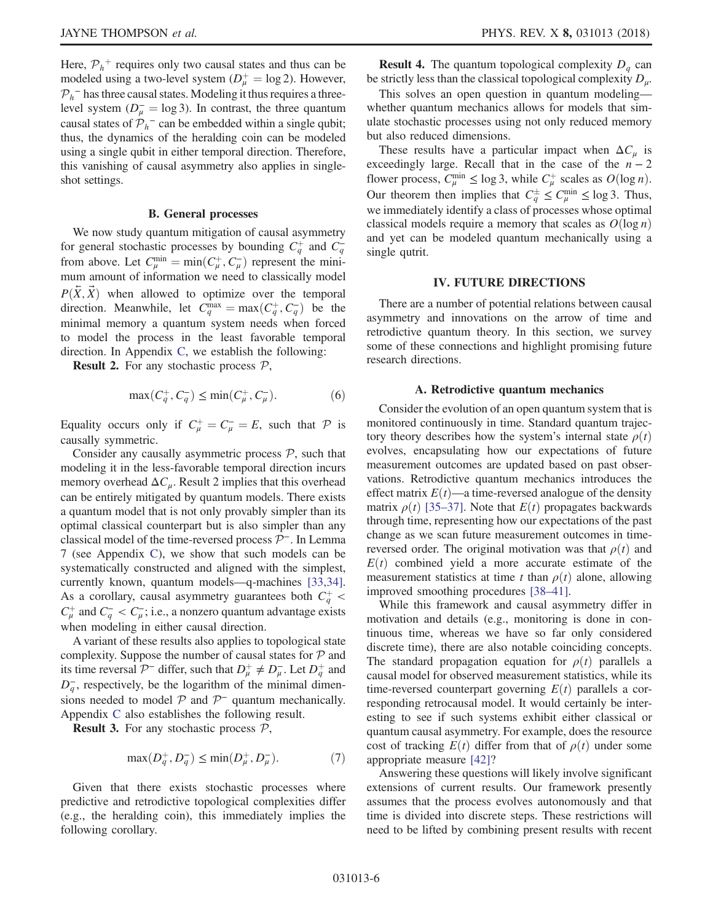Here,  $P_h^+$  requires only two causal states and thus can be modeled using a two-level system  $(D_{\mu}^{+} = \log 2)$ . However,<br> $D_{\mu}$  = has three causal states. Modeling it thus requires a three- $P_h$ <sup>–</sup> has three causal states. Modeling it thus requires a threelevel system  $(D_{\mu}^{-} = \log 3)$ . In contrast, the three quantum<br>causal states of  $\mathcal{D}$  = can be embedded within a single qubit: causal states of  $P_h^-$  can be embedded within a single qubit; thus, the dynamics of the heralding coin can be modeled using a single qubit in either temporal direction. Therefore, this vanishing of causal asymmetry also applies in singleshot settings.

#### B. General processes

We now study quantum mitigation of causal asymmetry for general stochastic processes by bounding  $C_q^+$  and  $C_q^-$ <br>from above. Let  $C_{\mu}^{\min} = \min(C_{\mu}^+, C_{\mu}^-)$  represent the mini-<br>mum amount of information we need to classically model mum amount of information we need to classically model  $P(\bar{X}, \bar{X})$  when allowed to optimize over the temporal direction. Meanwhile, let  $C_q^{\text{max}} = \max(C_q^+, C_q^-)$  be the minimal mamory a quantum system needs when forced minimal memory a quantum system needs when forced to model the process in the least favorable temporal direction. In Appendix [C](#page-9-0), we establish the following:

**Result 2.** For any stochastic process  $P$ ,

$$
\max(C_q^+, C_q^-) \le \min(C_\mu^+, C_\mu^-). \tag{6}
$$

Equality occurs only if  $C^+_\mu = C^-_\mu = E$ , such that  $\mathcal P$  is consolly symmetric causally symmetric.

Consider any causally asymmetric process  $P$ , such that modeling it in the less-favorable temporal direction incurs memory overhead  $\Delta C_{\mu}$ . Result 2 implies that this overhead can be entirely mitigated by quantum models. There exists a quantum model that is not only provably simpler than its optimal classical counterpart but is also simpler than any classical model of the time-reversed process P<sup>−</sup>. In Lemma 7 (see Appendix [C\)](#page-9-0), we show that such models can be systematically constructed and aligned with the simplest, currently known, quantum models—q-machines [\[33,34\]](#page-13-6). As a corollary, causal asymmetry guarantees both  $C_q^+$  <  $C^+_{\mu}$  and  $C^-_{q} < C^-_{\mu}$ ; i.e., a nonzero quantum advantage exists when modeling in either causal direction.

A variant of these results also applies to topological state complexity. Suppose the number of causal states for  $P$  and its time reversal  $\mathcal{P}^-$  differ, such that  $D^+_\mu \neq D^-_\mu$ . Let  $D^+_\eta$  and  $D_q^-$ , respectively, be the logarithm of the minimal dimensions needed to model  $\mathcal P$  and  $\mathcal P^-$  quantum mechanically. Appendix [C](#page-9-0) also establishes the following result.

**Result 3.** For any stochastic process  $P$ ,

$$
\max(D_q^+, D_q^-) \le \min(D_\mu^+, D_\mu^-). \tag{7}
$$

Given that there exists stochastic processes where predictive and retrodictive topological complexities differ (e.g., the heralding coin), this immediately implies the following corollary.

**Result 4.** The quantum topological complexity  $D_q$  can be strictly less than the classical topological complexity  $D_{\mu}$ .

This solves an open question in quantum modeling whether quantum mechanics allows for models that simulate stochastic processes using not only reduced memory but also reduced dimensions.

These results have a particular impact when  $\Delta C_{\mu}$  is exceedingly large. Recall that in the case of the  $n - 2$ flower process,  $C_{\mu}^{\min} \le \log 3$ , while  $C_{\mu}^{\perp}$  scales as  $O(\log n)$ .<br>Our theorem than implies that  $C_{\mu}^{\pm} \le C_{\mu}^{\min} \le \log 3$ . Thus, Our theorem then implies that  $C_q^{\pm} \leq C_{\mu}^{\min} \leq \log 3$ . Thus, we immediately identify a class of processes whose optimal classical models require a memory that scales as  $O(\log n)$ and yet can be modeled quantum mechanically using a single qutrit.

## IV. FUTURE DIRECTIONS

There are a number of potential relations between causal asymmetry and innovations on the arrow of time and retrodictive quantum theory. In this section, we survey some of these connections and highlight promising future research directions.

## A. Retrodictive quantum mechanics

Consider the evolution of an open quantum system that is monitored continuously in time. Standard quantum trajectory theory describes how the system's internal state  $\rho(t)$ evolves, encapsulating how our expectations of future measurement outcomes are updated based on past observations. Retrodictive quantum mechanics introduces the effect matrix  $E(t)$ —a time-reversed analogue of the density matrix  $\rho(t)$  [\[35](#page-13-7)–37]. Note that  $E(t)$  propagates backwards through time, representing how our expectations of the past change as we scan future measurement outcomes in timereversed order. The original motivation was that  $\rho(t)$  and  $E(t)$  combined yield a more accurate estimate of the measurement statistics at time t than  $\rho(t)$  alone, allowing improved smoothing procedures [\[38](#page-13-8)–41].

While this framework and causal asymmetry differ in motivation and details (e.g., monitoring is done in continuous time, whereas we have so far only considered discrete time), there are also notable coinciding concepts. The standard propagation equation for  $\rho(t)$  parallels a causal model for observed measurement statistics, while its time-reversed counterpart governing  $E(t)$  parallels a corresponding retrocausal model. It would certainly be interesting to see if such systems exhibit either classical or quantum causal asymmetry. For example, does the resource cost of tracking  $E(t)$  differ from that of  $\rho(t)$  under some appropriate measure [\[42\]](#page-13-9)?

Answering these questions will likely involve significant extensions of current results. Our framework presently assumes that the process evolves autonomously and that time is divided into discrete steps. These restrictions will need to be lifted by combining present results with recent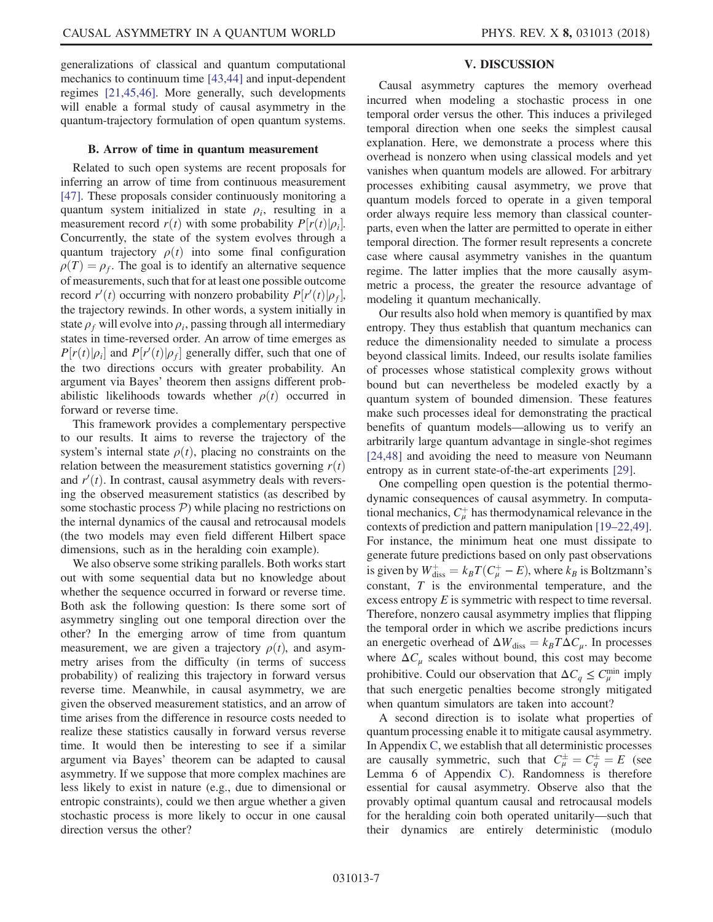generalizations of classical and quantum computational mechanics to continuum time [\[43,44\]](#page-13-10) and input-dependent regimes [\[21,45,46\].](#page-13-11) More generally, such developments will enable a formal study of causal asymmetry in the quantum-trajectory formulation of open quantum systems.

# B. Arrow of time in quantum measurement

Related to such open systems are recent proposals for inferring an arrow of time from continuous measurement [\[47\]](#page-13-12). These proposals consider continuously monitoring a quantum system initialized in state  $\rho_i$ , resulting in a measurement record  $r(t)$  with some probability  $P[r(t)|\rho_i]$ .<br>Concurrently, the state of the system evolves through a Concurrently, the state of the system evolves through a quantum trajectory  $\rho(t)$  into some final configuration  $\rho(T) = \rho_f$ . The goal is to identify an alternative sequence of measurements, such that for at least one possible outcome record  $r'(t)$  occurring with nonzero probability  $P[r'(t)|\rho_f]$ ,<br>the trajectory rewinds. In other words, a system initially in the trajectory rewinds. In other words, a system initially in state  $\rho_f$  will evolve into  $\rho_i$ , passing through all intermediary states in time-reversed order. An arrow of time emerges as  $P[r(t)|\rho_i]$  and  $P[r'(t)|\rho_f]$  generally differ, such that one of<br>the two-directions occurs with greater probability. An the two directions occurs with greater probability. An argument via Bayes' theorem then assigns different probabilistic likelihoods towards whether  $\rho(t)$  occurred in forward or reverse time.

This framework provides a complementary perspective to our results. It aims to reverse the trajectory of the system's internal state  $\rho(t)$ , placing no constraints on the relation between the measurement statistics governing  $r(t)$ and  $r'(t)$ . In contrast, causal asymmetry deals with revers-<br>ing the observed measurement statistics (as described by ing the observed measurement statistics (as described by some stochastic process  $P$ ) while placing no restrictions on the internal dynamics of the causal and retrocausal models (the two models may even field different Hilbert space dimensions, such as in the heralding coin example).

We also observe some striking parallels. Both works start out with some sequential data but no knowledge about whether the sequence occurred in forward or reverse time. Both ask the following question: Is there some sort of asymmetry singling out one temporal direction over the other? In the emerging arrow of time from quantum measurement, we are given a trajectory  $\rho(t)$ , and asymmetry arises from the difficulty (in terms of success probability) of realizing this trajectory in forward versus reverse time. Meanwhile, in causal asymmetry, we are given the observed measurement statistics, and an arrow of time arises from the difference in resource costs needed to realize these statistics causally in forward versus reverse time. It would then be interesting to see if a similar argument via Bayes' theorem can be adapted to causal asymmetry. If we suppose that more complex machines are less likely to exist in nature (e.g., due to dimensional or entropic constraints), could we then argue whether a given stochastic process is more likely to occur in one causal direction versus the other?

# V. DISCUSSION

Causal asymmetry captures the memory overhead incurred when modeling a stochastic process in one temporal order versus the other. This induces a privileged temporal direction when one seeks the simplest causal explanation. Here, we demonstrate a process where this overhead is nonzero when using classical models and yet vanishes when quantum models are allowed. For arbitrary processes exhibiting causal asymmetry, we prove that quantum models forced to operate in a given temporal order always require less memory than classical counterparts, even when the latter are permitted to operate in either temporal direction. The former result represents a concrete case where causal asymmetry vanishes in the quantum regime. The latter implies that the more causally asymmetric a process, the greater the resource advantage of modeling it quantum mechanically.

Our results also hold when memory is quantified by max entropy. They thus establish that quantum mechanics can reduce the dimensionality needed to simulate a process beyond classical limits. Indeed, our results isolate families of processes whose statistical complexity grows without bound but can nevertheless be modeled exactly by a quantum system of bounded dimension. These features make such processes ideal for demonstrating the practical benefits of quantum models—allowing us to verify an arbitrarily large quantum advantage in single-shot regimes [\[24,48\]](#page-13-1) and avoiding the need to measure von Neumann entropy as in current state-of-the-art experiments [\[29\].](#page-13-13)

One compelling open question is the potential thermodynamic consequences of causal asymmetry. In computational mechanics,  $C^+_{\mu}$  has thermodynamical relevance in the contexts of prediction and pattern manipulation [19–[22,49\]](#page-12-7). For instance, the minimum heat one must dissipate to generate future predictions based on only past observations is given by  $W_{\text{diss}}^+ = k_B T (C_\mu^+ - E)$ , where  $k_B$  is Boltzmann's<br>constant T is the environmental temperature, and the constant, T is the environmental temperature, and the excess entropy E is symmetric with respect to time reversal. Therefore, nonzero causal asymmetry implies that flipping the temporal order in which we ascribe predictions incurs an energetic overhead of  $\Delta W_{diss} = k_B T \Delta C_\mu$ . In processes where  $\Delta C_{\mu}$  scales without bound, this cost may become prohibitive. Could our observation that  $\Delta C_q \leq C_\mu^{\min}$  imply that such energetic penalties become strongly mitigated when quantum simulators are taken into account?

A second direction is to isolate what properties of quantum processing enable it to mitigate causal asymmetry. In Appendix [C](#page-9-0), we establish that all deterministic processes are causally symmetric, such that  $C_{\mu}^{\pm} = C_{\eta}^{\pm} = E$  (see<br>Lemma 6 of Appendix C) Randomness is therefore Lemma 6 of Appendix [C](#page-9-0)). Randomness is therefore essential for causal asymmetry. Observe also that the provably optimal quantum causal and retrocausal models for the heralding coin both operated unitarily—such that their dynamics are entirely deterministic (modulo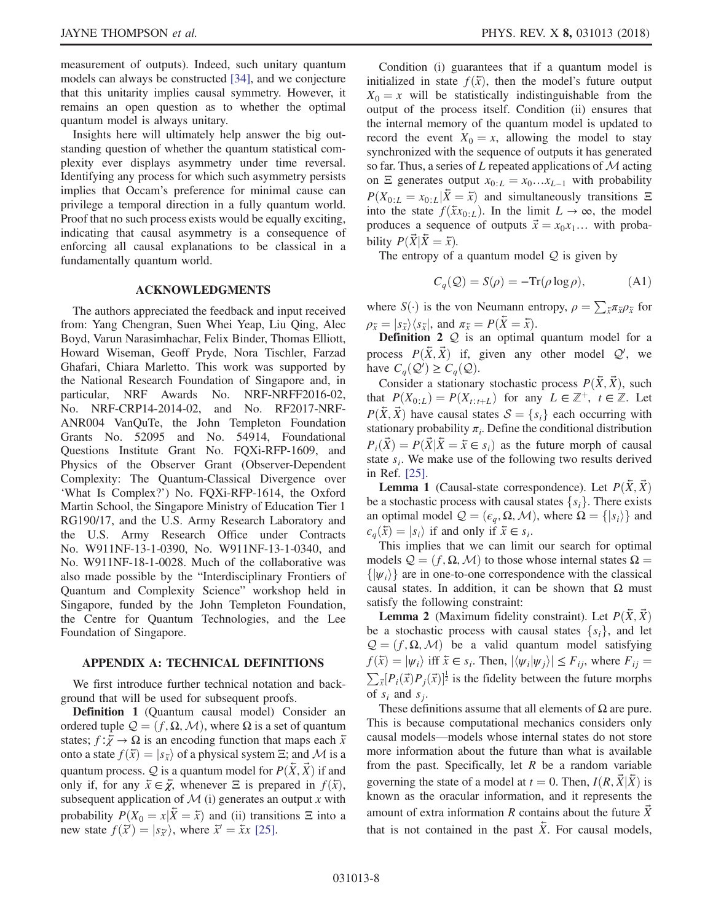measurement of outputs). Indeed, such unitary quantum models can always be constructed [\[34\]](#page-13-14), and we conjecture that this unitarity implies causal symmetry. However, it remains an open question as to whether the optimal quantum model is always unitary.

Insights here will ultimately help answer the big outstanding question of whether the quantum statistical complexity ever displays asymmetry under time reversal. Identifying any process for which such asymmetry persists implies that Occam's preference for minimal cause can privilege a temporal direction in a fully quantum world. Proof that no such process exists would be equally exciting, indicating that causal asymmetry is a consequence of enforcing all causal explanations to be classical in a fundamentally quantum world.

### ACKNOWLEDGMENTS

The authors appreciated the feedback and input received from: Yang Chengran, Suen Whei Yeap, Liu Qing, Alec Boyd, Varun Narasimhachar, Felix Binder, Thomas Elliott, Howard Wiseman, Geoff Pryde, Nora Tischler, Farzad Ghafari, Chiara Marletto. This work was supported by the National Research Foundation of Singapore and, in particular, NRF Awards No. NRF-NRFF2016-02, No. NRF-CRP14-2014-02, and No. RF2017-NRF-ANR004 VanQuTe, the John Templeton Foundation Grants No. 52095 and No. 54914, Foundational Questions Institute Grant No. FQXi-RFP-1609, and Physics of the Observer Grant (Observer-Dependent Complexity: The Quantum-Classical Divergence over 'What Is Complex?') No. FQXi-RFP-1614, the Oxford Martin School, the Singapore Ministry of Education Tier 1 RG190/17, and the U.S. Army Research Laboratory and the U.S. Army Research Office under Contracts No. W911NF-13-1-0390, No. W911NF-13-1-0340, and No. W911NF-18-1-0028. Much of the collaborative was also made possible by the "Interdisciplinary Frontiers of Quantum and Complexity Science" workshop held in Singapore, funded by the John Templeton Foundation, the Centre for Quantum Technologies, and the Lee Foundation of Singapore.

## <span id="page-7-0"></span>APPENDIX A: TECHNICAL DEFINITIONS

We first introduce further technical notation and background that will be used for subsequent proofs.

Definition 1 (Quantum causal model) Consider an ordered tuple  $\mathcal{Q} = (f, \Omega, \mathcal{M})$ , where  $\Omega$  is a set of quantum states;  $f: \overline{\chi} \to \Omega$  is an encoding function that maps each  $\overline{x}$ onto a state  $f(\bar{x}) = |s_{\bar{x}}\rangle$  of a physical system  $\Xi$ ; and M is a quantum process.  $Q$  is a quantum model for  $P(\bar{X}, \bar{X})$  if and only if, for any  $\bar{x} \in \bar{\chi}$ , whenever  $\Xi$  is prepared in  $f(\bar{x})$ , subsequent application of  $M$  (i) generates an output x with probability  $P(X_0 = x | \hat{X} = \hat{x})$  and (ii) transitions  $\Xi$  into a new state  $f(\vec{x}) = |s_{\vec{x}}\rangle$ , where  $\vec{x}' = \vec{x}x$  [\[25\]](#page-13-2).

Condition (i) guarantees that if a quantum model is initialized in state  $f(\bar{x})$ , then the model's future output  $X_0 = x$  will be statistically indistinguishable from the output of the process itself. Condition (ii) ensures that the internal memory of the quantum model is updated to record the event  $X_0 = x$ , allowing the model to stay synchronized with the sequence of outputs it has generated so far. Thus, a series of  $L$  repeated applications of  $M$  acting on  $\Xi$  generates output  $x_{0:L} = x_0 \dots x_{L-1}$  with probability  $P(X_{0:L} = x_{0:L}|\overline{X} = \overline{x})$  and simultaneously transitions  $\Xi$ into the state  $f(\bar{x}x_{0:L})$ . In the limit  $L \to \infty$ , the model produces a sequence of outputs  $\vec{x} = x_0 x_1 ...$  with probability  $P(X|X = \overline{x})$ .

The entropy of a quantum model  $Q$  is given by

$$
C_q(\mathcal{Q}) = S(\rho) = -\text{Tr}(\rho \log \rho), \tag{A1}
$$

where  $S(\cdot)$  is the von Neumann entropy,  $\rho = \sum_{\bar{x}} \pi_{\bar{x}} \rho_{\bar{x}}$  for  $\rho_{\bar{x}} = |s_{\bar{x}}\rangle\langle s_{\bar{x}}|$ , and  $\pi_{\bar{x}} = P(\bar{X} = \bar{x})$ .

**Definition 2**  $Q$  is an optimal quantum model for a process  $P(\bar{X}, \bar{X})$  if, given any other model  $Q'$ , we have  $C(Q') > C(Q)$ have  $C_q(\mathcal{Q}') \geq C_q(\mathcal{Q})$ .<br>Consider a stationary

Consider a stationary stochastic process  $P(\bar{X}, \bar{X})$ , such that  $P(X_{0:L}) = P(X_{t:t+L})$  for any  $L \in \mathbb{Z}^+$ ,  $t \in \mathbb{Z}$ . Let  $P(\bar{X}, \bar{X})$  have causal states  $S = \{s_i\}$  each occurring with stationary probability  $\pi_i$ . Define the conditional distribution  $P_i(\vec{X}) = P(\vec{X} | \vec{X} = \vec{x} \in s_i)$  as the future morph of causal state  $s_i$ . We make use of the following two results derived in Ref. [\[25\]](#page-13-2).

**Lemma 1** (Causal-state correspondence). Let  $P(\bar{X}, \bar{X})$ be a stochastic process with causal states  $\{s_i\}$ . There exists an optimal model  $Q = (\epsilon_q, \Omega, \mathcal{M})$ , where  $\Omega = \{ |s_i \rangle \}$  and  $\epsilon_q(\bar{x}) = |s_i\rangle$  if and only if  $\bar{x} \in s_i$ .

This implies that we can limit our search for optimal models  $\mathcal{Q} = (f, \Omega, \mathcal{M})$  to those whose internal states  $\Omega =$  $\{|\psi_i\rangle\}$  are in one-to-one correspondence with the classical causal states. In addition, it can be shown that  $\Omega$  must satisfy the following constraint:

**Lemma 2** (Maximum fidelity constraint). Let  $P(X, X)$ be a stochastic process with causal states  $\{s_i\}$ , and let  $Q = (f, \Omega, \mathcal{M})$  be a valid quantum model satisfying  $f(\bar{x}) = |\psi_i\rangle$  iff  $\bar{x} \in s_i$ . Then,  $|\langle \psi_i | \psi_j \rangle| \le F_{ij}$ , where  $F_{ij} =$  $f(\bar{x}) = |\psi_i\rangle$  iff  $\bar{x} \in s_i$ . Then,  $|\langle \psi_i | \psi_j \rangle| \le F_{ij}$ , where  $F_{ij} = \sum_{\bar{x}} [P_i(\vec{x}) P_j(\vec{x})]^{\frac{1}{2}}$  is the fidelity between the future morphs  $\frac{1}{2}$  is the fidelity between the future morphs of  $s_i$  and  $s_j$ .

These definitions assume that all elements of  $\Omega$  are pure. This is because computational mechanics considers only causal models—models whose internal states do not store more information about the future than what is available from the past. Specifically, let  $R$  be a random variable governing the state of a model at  $t = 0$ . Then,  $I(R, \vec{X} | \vec{X})$  is known as the oracular information, and it represents the amount of extra information  $R$  contains about the future  $\hat{X}$ that is not contained in the past  $\overline{X}$ . For causal models,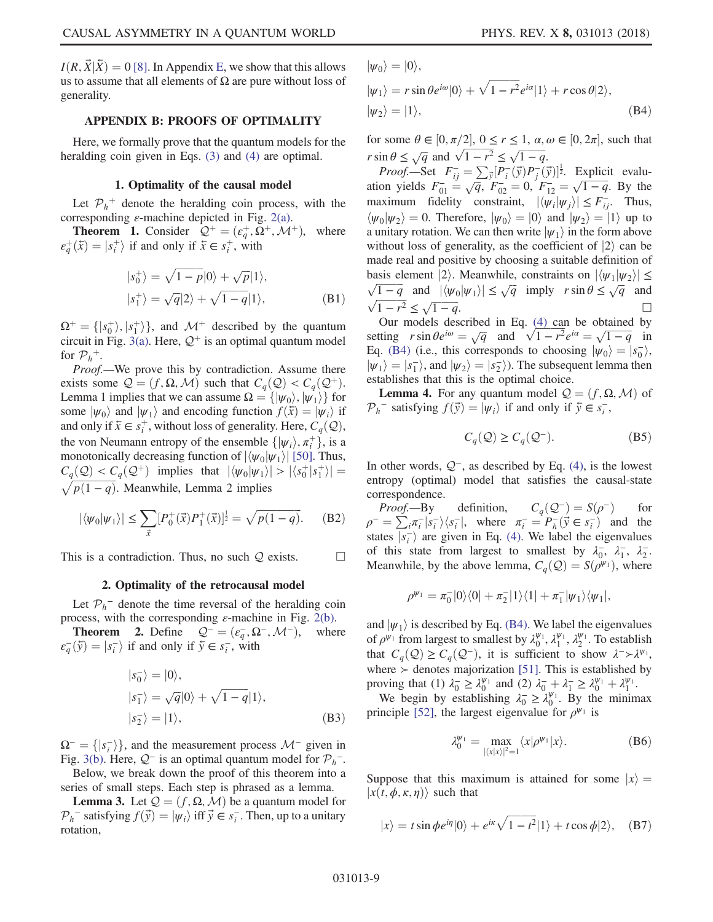$I(R, \dot{X} | \dot{X}) = 0$  [\[8\].](#page-12-8) In Appendix [E](#page-11-1), we show that this allows us to assume that all elements of  $\Omega$  are pure without loss of generality.

## <span id="page-8-0"></span>APPENDIX B: PROOFS OF OPTIMALITY

Here, we formally prove that the quantum models for the heralding coin given in Eqs. [\(3\)](#page-3-1) and [\(4\)](#page-4-1) are optimal.

### 1. Optimality of the causal model

Let  $P_h^+$  denote the heralding coin process, with the corresponding  $\varepsilon$ -machine depicted in Fig. [2\(a\)](#page-2-0).

**Theorem 1.** Consider  $Q^+ = (e^+_{q}, \Omega^+, \mathcal{M}^+),$  where  $\varepsilon_q^+(\bar{x}) = |s_i^+\rangle$  if and only if  $\bar{x} \in s_i^+$ , with

$$
|s_0^+\rangle = \sqrt{1-p}|0\rangle + \sqrt{p}|1\rangle,
$$
  
\n
$$
|s_1^+\rangle = \sqrt{q}|2\rangle + \sqrt{1-q}|1\rangle,
$$
 (B1)

 $\Omega^+ = \{ |s_0^+ \rangle, |s_1^+ \rangle \}$ , and  $\mathcal{M}^+$  described by the quantum<br>circuit in Fig. 3(a) Here  $\mathcal{O}^+$  is an optimal quantum model circuit in Fig. [3\(a\).](#page-3-0) Here,  $\mathcal{Q}^+$  is an optimal quantum model for  $\mathcal{P}_h^+$ .

Proof.—We prove this by contradiction. Assume there exists some  $Q = (f, \Omega, M)$  such that  $C_q(Q) < C_q(Q^+)$ . Lemma 1 implies that we can assume  $\Omega = {\vert \psi_0 \rangle, \vert \psi_1 \rangle}$  for some  $|\psi_0\rangle$  and  $|\psi_1\rangle$  and encoding function  $f(\bar{x}) = |\psi_i\rangle$  if and only if  $\bar{x} \in s_t^+$ , without loss of generality. Here,  $C_q(Q)$ , the view property of the anomalis  $\int |w_t - \tau^+|$ , is a the von Neumann entropy of the ensemble  $\{|\psi_i\rangle, \pi_i^+\}$ , is a monotonically decreasing function of  $|\psi_i\rangle$ . [50] Thus monotonically decreasing function of  $|\langle \psi_0 | \psi_1 \rangle|$  [\[50\]](#page-13-15). Thus,  $C_q(\mathcal{Q}) < C_q(\mathcal{Q}^+)$  implies that  $|\langle \psi_0 | \psi_1 \rangle| > |\langle s_0^+ | s_1^+ \rangle|$  $\sqrt{p(1-q)}$ . Meanwhile, Lemma 2 implies

$$
|\langle \psi_0 | \psi_1 \rangle| \le \sum_{\vec{x}} [P_0^+(\vec{x}) P_1^+(\vec{x})]^{\frac{1}{2}} = \sqrt{p(1-q)}.
$$
 (B2)

This is a contradiction. Thus, no such  $Q$  exists.  $\Box$ 

### 2. Optimality of the retrocausal model

Let  $\mathcal{P}_h$ <sup>-</sup> denote the time reversal of the heralding coin process, with the corresponding  $\varepsilon$ -machine in Fig. [2\(b\).](#page-2-0)

**Theorem 2.** Define  $Q^- = (e^-_q, \Omega^-,\mathcal{M}^-)$ , where  $(\bar{v}) = (s^-_q)$  if and only if  $\bar{v} \in s^-_q$  with  $\varepsilon_{q}^{-}(\bar{y}) = |s_{i}^{-}\rangle$  if and only if  $\bar{y} \in s_{i}^{-}$ , with

$$
|s_0^-\rangle = |0\rangle,
$$
  
\n
$$
|s_1^-\rangle = \sqrt{q}|0\rangle + \sqrt{1-q}|1\rangle,
$$
  
\n
$$
|s_2^-\rangle = |1\rangle,
$$
 (B3)

 $\Omega^- = \{ |s_i^-\rangle \}$ , and the measurement process  $\mathcal{M}^-$  given in Fig. 3(b) Here  $\Omega^-$  is an optimal quantum model for  $\mathcal{D}^-$ . Fig. [3\(b\).](#page-3-0) Here,  $Q^-$  is an optimal quantum model for  $\mathcal{P}_h^-$ .

Below, we break down the proof of this theorem into a series of small steps. Each step is phrased as a lemma.

<span id="page-8-1"></span>**Lemma 3.** Let  $Q = (f, \Omega, M)$  be a quantum model for  $\mathcal{P}_h^-$  satisfying  $f(\vec{y}) = |\psi_i\rangle$  iff  $\vec{y} \in s_i^-$ . Then, up to a unitary rotation rotation,

 $|\psi_0\rangle=|0\rangle,$ 

$$
|\psi_1\rangle = r \sin \theta e^{i\omega} |0\rangle + \sqrt{1 - r^2} e^{i\alpha} |1\rangle + r \cos \theta |2\rangle,
$$
  

$$
|\psi_2\rangle = |1\rangle,
$$
 (B4)

for some  $\theta \in [0, \pi/2], 0 \le r \le 1, \alpha, \omega \in [0, 2\pi],$  such that  $r \sin \theta \leq \sqrt{q}$  and  $\sqrt{1 - r^2} \leq \sqrt{1 - q}$ .

Proof.—Set  $F_{ij} = \sum_{\vec{y}} [P_i(\vec{y})P_j(\vec{y})]^{\frac{1}{2}}$ . Explicit evalu-<br>on vields  $F^- = \sqrt{a} F^- = 0$ ,  $F^- = \sqrt{1-a}$ . By the ation yields  $F_{01} = \sqrt{q}$ ,  $F_{02} = 0$ ,  $F_{12} = \sqrt{1-q}$ . By the maximum fidelity constraint,  $|\langle \psi_i | \psi_j \rangle| \le F_{ij}$ . Thus,<br> $\langle \psi_k | \psi_k \rangle = 0$ . Therefore,  $|\psi_k \rangle = |0\rangle$  and  $|\psi_k \rangle = |1\rangle$  up to  $\langle \psi_0 | \psi_2 \rangle = 0$ . Therefore,  $|\psi_0 \rangle = |0\rangle$  and  $|\psi_2 \rangle = |1\rangle$  up to a unitary rotation. We can then write  $|\psi_1\rangle$  in the form above without loss of generality, as the coefficient of  $|2\rangle$  can be made real and positive by choosing a suitable definition of basis element  $|2\rangle$ . Meanwhile, constraints on  $|\langle \psi_1 | \psi_2 \rangle| \le$  $\sqrt{1-q}$  and  $|\langle \psi_0 | \psi_1 \rangle| \leq \sqrt{q}$  imply  $r \sin \theta \leq \sqrt{q}$  and  $\sqrt{1-r^2} \leq \sqrt{1-q}$ .

Our models described in Eq. [\(4\)](#page-4-1) can be obtained by setting  $r \sin \theta e^{i\omega} = \sqrt{q}$  and  $\sqrt{1 - r^2} e^{i\alpha} = \sqrt{1 - q}$  in<br>Formulation is corresponds to choosing  $|y_{\alpha}\rangle = |s_{\alpha}\rangle$ Eq. [\(B4\)](#page-8-1) (i.e., this corresponds to choosing  $|\psi_0\rangle = |s_0\rangle$ )<br> $|\psi_0\rangle = |s_0\rangle$  and  $|\psi_1\rangle = |s_0\rangle$ ). The subsequent lemma then  $|\psi_1\rangle = |s_1\rangle$ , and  $|\psi_2\rangle = |s_2\rangle$ ). The subsequent lemma then establishes that this is the optimal choice establishes that this is the optimal choice.

**Lemma 4.** For any quantum model  $\mathcal{Q} = (f, \Omega, \mathcal{M})$  of  $\mathcal{P}_h$ <sup>–</sup> satisfying  $f(\vec{y}) = |\psi_i\rangle$  if and only if  $\vec{y} \in s_i^-$ ,

$$
C_q(\mathcal{Q}) \ge C_q(\mathcal{Q}^-). \tag{B5}
$$

In other words,  $Q^-$ , as described by Eq. [\(4\)](#page-4-1), is the lowest entropy (optimal) model that satisfies the causal-state correspondence.

Proof.—By definition,  $C_q(Q^-) = S(\rho^-)$  for  $-\sum_{\pi^-|S^- \setminus \{s^-\}}$  where  $\pi^- - P^{-}(\vec{v} \in s^-)$  and the  $\rho^- = \sum_i \pi_i^- |s_i^- \rangle \langle s_i^-|$ , where  $\pi_i^- = P_{\overline{h}}(\vec{y} \in s_i^-)$  and the states  $\overline{|s_i|}$  are given in Eq. [\(4\)](#page-4-1). We label the eigenvalues<br>of this state from largest to smallest by  $\lambda = \lambda - \lambda$ of this state from largest to smallest by  $\lambda_0^-$ ,  $\lambda_1^-$ ,  $\lambda_2^-$ . Meanwhile, by the above lemma,  $C_q(Q) = S(\rho^{\psi_1})$ , where

$$
\rho^{\psi_1} = \pi_0^- |0\rangle\langle 0| + \pi_2^- |1\rangle\langle 1| + \pi_1^- |\psi_1\rangle\langle \psi_1|,
$$

and  $|\psi_1\rangle$  is described by Eq. [\(B4\).](#page-8-1) We label the eigenvalues of  $\rho^{\psi_1}$  from largest to smallest by  $\lambda_0^{\psi_1}$ ,  $\lambda_1^{\psi_1}$ ,  $\lambda_2^{\psi_1}$ . To establish that  $C_a(Q) \geq C_a(Q^-)$ , it is sufficient to show  $\lambda^- \rightarrow \lambda^{\psi_1}$ , where  $\ge$  denotes majorization [\[51\].](#page-13-16) This is established by proving that (1)  $\lambda_0^- \ge \lambda_0^{\psi_1}$  and (2)  $\lambda_0^- + \lambda_1^- \ge \lambda_0^{\psi_1} + \lambda_1^{\psi_1}$ .<br>We begin by establishing  $\lambda_0^- \ge \lambda_1^{\psi_1}$ . By the minim

<span id="page-8-2"></span>both begin by establishing  $\lambda_0^- \geq \lambda_0^{\psi_1}$  and  $(2)$   $\lambda_0^- + \lambda_1^- \geq \lambda_0^{\psi_1} + \lambda_1^{\psi_1}$ .<br>We begin by establishing  $\lambda_0^- \geq \lambda_0^{\psi_1}$ . By the minimax principle [\[52\],](#page-13-17) the largest eigenvalue for  $\rho^{\psi_1}$  is

$$
\lambda_0^{\psi_1} = \max_{|\langle x|x\rangle|^2 = 1} \langle x|\rho^{\psi_1}|x\rangle.
$$
 (B6)

<span id="page-8-3"></span>Suppose that this maximum is attained for some  $|x\rangle =$  $|x(t, \phi, \kappa, \eta)\rangle$  such that

$$
|x\rangle = t \sin \phi e^{i\eta} |0\rangle + e^{i\kappa} \sqrt{1 - t^2} |1\rangle + t \cos \phi |2\rangle, \quad (B7)
$$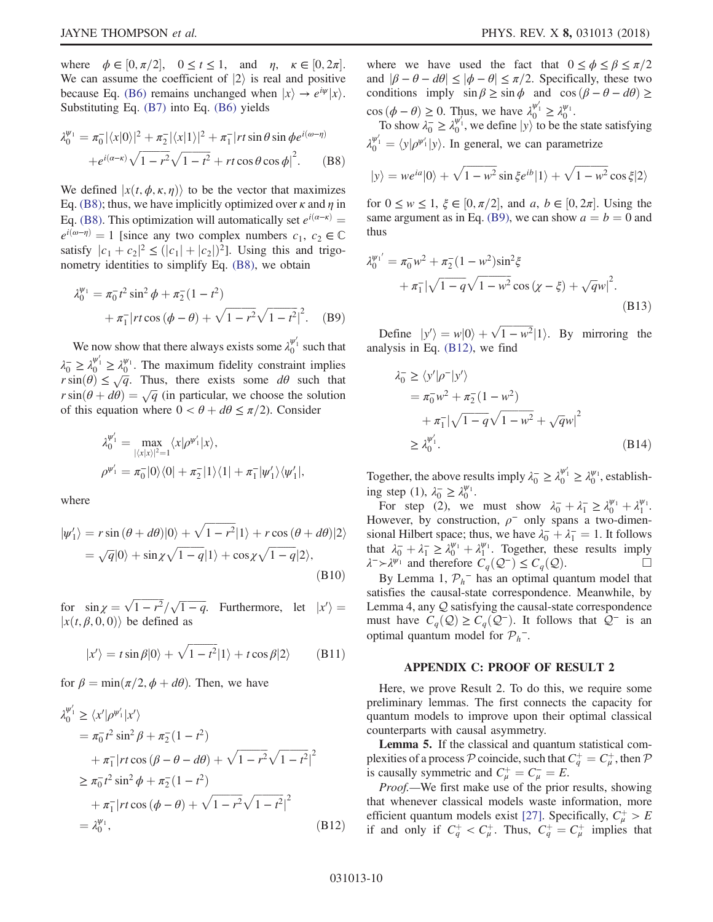where  $\phi \in [0, \pi/2], \quad 0 \le t \le 1, \text{ and } \eta, \quad \kappa \in [0, 2\pi].$ <br>We can assume the coefficient of  $|2\rangle$  is real and nositive We can assume the coefficient of  $|2\rangle$  is real and positive because Eq. [\(B6\)](#page-8-2) remains unchanged when  $|x\rangle \rightarrow e^{i\psi} |x\rangle$ . Substituting Eq. [\(B7\)](#page-8-3) into Eq. [\(B6\)](#page-8-2) yields

<span id="page-9-1"></span>
$$
\lambda_0^{\psi_1} = \pi_0^- |\langle x|0\rangle|^2 + \pi_2^- |\langle x|1\rangle|^2 + \pi_1^- |rt \sin \theta \sin \phi e^{i(\omega - \eta)} + e^{i(\alpha - \kappa)} \sqrt{1 - r^2} \sqrt{1 - t^2} + rt \cos \theta \cos \phi|^2.
$$
 (B8)

We defined  $|x(t, \phi, \kappa, \eta)\rangle$  to be the vector that maximizes Eq. [\(B8\)](#page-9-1); thus, we have implicitly optimized over  $\kappa$  and  $\eta$  in Eq. [\(B8\).](#page-9-1) This optimization will automatically set  $e^{i(\alpha-\kappa)} =$  $e^{i(\omega-\eta)}=1$  [since any two complex numbers  $c_1, c_2 \in \mathbb{C}$ satisfy  $|c_1 + c_2|^2 \le (|c_1| + |c_2|)^2$ . Using this and trigo-<br>nometry identities to simplify Eq. (B8), we obtain nometry identities to simplify Eq. [\(B8\),](#page-9-1) we obtain

<span id="page-9-2"></span>
$$
\lambda_0^{\psi_1} = \pi_0^- t^2 \sin^2 \phi + \pi_2^- (1 - t^2) + \pi_1^- |rt \cos (\phi - \theta) + \sqrt{1 - r^2} \sqrt{1 - t^2}|^2. \quad (B9)
$$

We now show that there always exists some  $\lambda_0^{\psi_1'}$  such that  $\lambda_0^- \geq \lambda_0^{\psi_1'} \geq \lambda_0^{\psi_1}$ . The maximum fidelity constraint implies  $r \sin(\theta) \leq \sqrt{q}$ . Thus, there exists some  $d\theta$  such that  $r \sin(\theta + d\theta) = \sqrt{q}$  (in particular we choose the solution  $r \sin(\theta + d\theta) = \sqrt{q}$  (in particular, we choose the solution<br>of this equation where  $0 < \theta + d\theta < \pi/2$ ) Consider of this equation where  $0 < \theta + d\theta \le \pi/2$ ). Consider

$$
\lambda_0^{\psi_1'} = \max_{|\langle x|x\rangle|^2=1} \langle x|\rho^{\psi_1'}|x\rangle,
$$
  

$$
\rho^{\psi_1'} = \pi_0^-|0\rangle\langle 0| + \pi_2^-|1\rangle\langle 1| + \pi_1^-|\psi_1'\rangle\langle \psi_1'|,
$$

where

$$
|\psi'_1\rangle = r \sin (\theta + d\theta)|0\rangle + \sqrt{1 - r^2}|1\rangle + r \cos (\theta + d\theta)|2\rangle
$$
  
=  $\sqrt{q}|0\rangle + \sin \chi \sqrt{1 - q}|1\rangle + \cos \chi \sqrt{1 - q}|2\rangle,$   
(B10)

for  $\sin \chi = \sqrt{1 - r^2}/\sqrt{1 - q}$ . Furthermore, let  $|x'| = |x(t, \beta, 0, 0)\rangle$  be defined as  $|x(t, \beta, 0, 0)\rangle$  be defined as

$$
|x'\rangle = t\sin\beta|0\rangle + \sqrt{1-t^2}|1\rangle + t\cos\beta|2\rangle \qquad (B11)
$$

<span id="page-9-3"></span>for  $\beta = \min(\pi/2, \phi + d\theta)$ . Then, we have

$$
\lambda_0^{\psi_1'} \ge \langle x' | \rho^{\psi_1'} | x' \rangle \n= \pi_0^- t^2 \sin^2 \beta + \pi_2^- (1 - t^2) \n+ \pi_1^- | rt \cos (\beta - \theta - d\theta) + \sqrt{1 - r^2} \sqrt{1 - t^2}|^2 \n\ge \pi_0^- t^2 \sin^2 \phi + \pi_2^- (1 - t^2) \n+ \pi_1^- | rt \cos (\phi - \theta) + \sqrt{1 - r^2} \sqrt{1 - t^2}|^2 \n= \lambda_0^{\psi_1}, \qquad (B12)
$$

where we have used the fact that  $0 \le \phi \le \beta \le \pi/2$ and  $|\beta - \theta - d\theta| \le |\phi - \theta| \le \pi/2$ . Specifically, these two conditions imply  $\sin \beta \geq \sin \phi$  and  $\cos (\beta - \theta - d\theta) \geq$  $\cos (\phi - \theta) \ge 0$ . Thus, we have  $\lambda_0^{\psi_1'} \ge \lambda_0^{\psi_1}$ .<br>To show  $\lambda_0^{-1} > \lambda_0^{\psi_1}$  we define  $|y\rangle$  to be the

To show  $\lambda_0^- \ge \lambda_0^{\psi_1}$ , we define  $|y\rangle$  to be the state satisfying  $\lambda_0^{\psi_1'} = \langle y | \rho^{\psi_1'} | y \rangle$ . In general, we can parametrize

$$
|y\rangle = we^{ia}|0\rangle + \sqrt{1 - w^2} \sin \xi e^{ib}|1\rangle + \sqrt{1 - w^2} \cos \xi |2\rangle
$$

for  $0 \le w \le 1$ ,  $\xi \in [0, \pi/2]$ , and a,  $b \in [0, 2\pi]$ . Using the same aroument as in Eq. (B9), we can show  $a - b - 0$  and same argument as in Eq. [\(B9\)](#page-9-2), we can show  $a = b = 0$  and thus

$$
\lambda_0^{\psi_1'} = \pi_0^- w^2 + \pi_2^- (1 - w^2) \sin^2 \xi + \pi_1^- |\sqrt{1 - q} \sqrt{1 - w^2} \cos (\chi - \xi) + \sqrt{q} w|^2.
$$
\n(B13)

Define  $|y'\rangle = w|0\rangle + \sqrt{1 - w^2}|1\rangle$ . By mirroring the alveis in Eq. (B12) we find analysis in Eq. [\(B12\),](#page-9-3) we find

$$
\lambda_0^- \ge \langle y' | \rho^- | y' \rangle \n= \pi_0^- w^2 + \pi_2^- (1 - w^2) \n+ \pi_1^- |\sqrt{1 - q} \sqrt{1 - w^2} + \sqrt{q} w|^2 \n\ge \lambda_0^{w'_1}.
$$
\n(B14)

Together, the above results imply  $\lambda_0^- \geq \lambda_0^{\psi_1'} \geq \lambda_0^{\psi_1}$ , establishing step (1),  $\lambda_0^- \geq \lambda_0^{\psi_1}$ .

For step (2), we must show  $\lambda_0^- + \lambda_1^- \ge \lambda_0^{\psi_1} + \lambda_1^{\psi_1}$ . However, by construction,  $\rho^-$  only spans a two-dimensional Hilbert space; thus, we have  $\lambda_0^- + \lambda_1^- = 1$ . It follows<br>that  $\lambda_-^+ + \lambda_-^+ > \lambda_{\mu_1}^{\mu_1} + \lambda_{\mu_2}^{\mu_2}$ . Together, these results imply that  $\lambda_0^- + \lambda_1^- \ge \lambda_0^{\psi_1} + \lambda_1^{\psi_1}$ . Together, these results imply  $\lambda^-\ge \lambda^{\psi_1}$  and therefore  $C(\Omega^-) \le C(\Omega)$  $\lambda^-$ ≻ $\lambda^{\psi_1}$  and therefore  $C_q(\mathcal{Q}^-) \leq C_q(\mathcal{Q})$ .  $\Box$ 

By Lemma 1,  $\mathcal{P}_h^-$  has an optimal quantum model that satisfies the causal-state correspondence. Meanwhile, by Lemma 4, any Q satisfying the causal-state correspondence must have  $C_q(\mathcal{Q}) \geq C_q(\mathcal{Q}^-)$ . It follows that  $\mathcal{Q}^-$  is an optimal quantum model for  $P_h^-$ .

### APPENDIX C: PROOF OF RESULT 2

<span id="page-9-0"></span>Here, we prove Result 2. To do this, we require some preliminary lemmas. The first connects the capacity for quantum models to improve upon their optimal classical counterparts with causal asymmetry.

Lemma 5. If the classical and quantum statistical complexities of a process P coincide, such that  $C_q^+ = C_\mu^+$ , then P is causally symmetric and  $C^+ = C^- = F$ is causally symmetric and  $C^+_\mu = C^-_\mu = E$ .<br>Proof We first make use of the prior

Proof.—We first make use of the prior results, showing that whenever classical models waste information, more efficient quantum models exist [\[27\].](#page-13-4) Specifically,  $C^+_\mu > E$ if and only if  $C_q^+ < C_\mu^+$ . Thus,  $C_q^+ = C_\mu^+$  implies that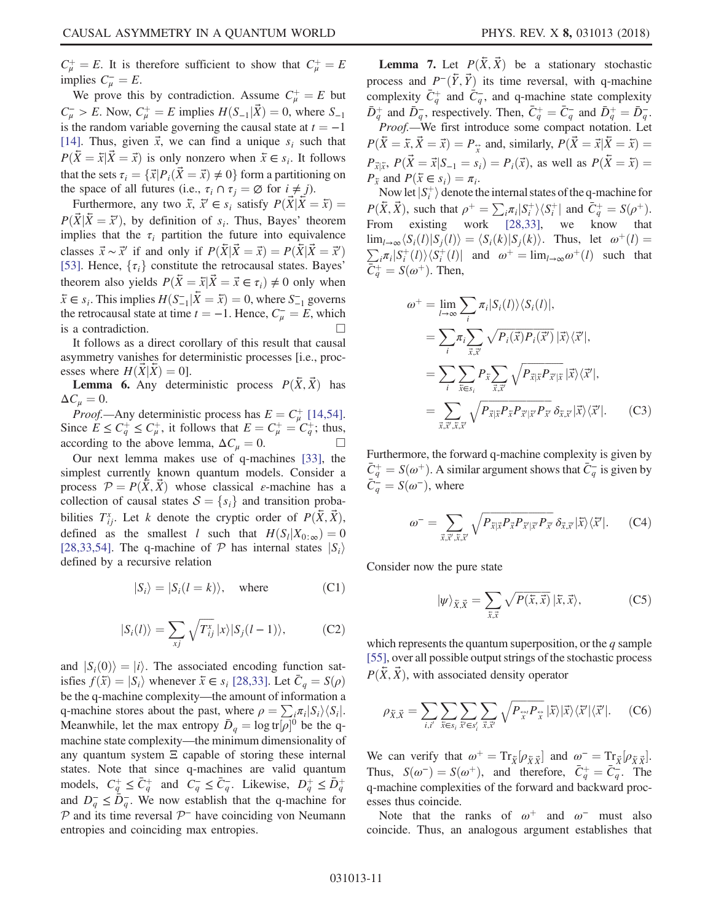$C^+_{\mu} = E$ . It is therefore sufficient to show that  $C^+_{\mu} = E$ <br>implies  $C^- = E$ implies  $C_{\mu}^- = E$ .<br>We prove this

We prove this by contradiction. Assume  $C_{\mu}^{+} = E$  but  $C_{\mu}^- > E$ . Now,  $C_{\mu}^+ = E$  implies  $H(S_{-1}|\vec{X}) = 0$ , where  $S_{-1}$ <br>is the random variable governing the causal state at  $t = -1$ is the random variable governing the causal state at  $t = -1$ [\[14\]](#page-12-9). Thus, given  $\vec{x}$ , we can find a unique  $s_i$  such that  $P(\overline{X} = \overline{x} | \overline{X} = \overline{x})$  is only nonzero when  $\overline{x} \in s_i$ . It follows that the sets  $\tau_i = {\{\vec{x}|P_i(\vec{X} = \vec{x}) \neq 0\}}$  form a partitioning on the space of all futures (i.e.,  $\tau_i \cap \tau_j = \emptyset$  for  $i \neq j$ ).

Furthermore, any two  $\bar{x}$ ,  $\bar{x}' \in s_i$  satisfy  $P(\bar{X}|\bar{X} = \bar{x}) =$  $P(\vec{X} | \vec{X} = \vec{x}')$ , by definition of  $s_i$ . Thus, Bayes' theorem<br>implies that the  $\tau_i$ , partition the future into equivalence implies that the  $\tau_i$  partition the future into equivalence classes  $\vec{x} \sim \vec{x}'$  if and only if  $P(\vec{X}|\vec{X} = \vec{x}) = P(\vec{X}|\vec{X} = \vec{x}')$ [\[53\]](#page-13-18). Hence,  $\{\tau_i\}$  constitute the retrocausal states. Bayes' theorem also yields  $P(\bar{X} = \bar{x} | \bar{X} = \bar{x} \in \tau_i) \neq 0$  only when  $\bar{x} \in s_i$ . This implies  $H(S_{-1}^- | \bar{X} = \bar{x}) = 0$ , where  $S_{-1}^-$  governs the retrocausal state at time  $t = -1$ . Hence  $C = F$  which the retrocausal state at time  $t = -1$ . Hence,  $C_{\mu}^{-} = E$ , which is a contradiction.

It follows as a direct corollary of this result that causal asymmetry vanishes for deterministic processes [i.e., processes where  $H(\hat{X}|\hat{X})=0$ .

**Lemma 6.** Any deterministic process  $P(\bar{X}, \bar{X})$  has  $\Delta C_{\mu} = 0.$ 

*Proof.*—Any deterministic process has  $E = C_F^+$  [\[14,54\]](#page-12-9). Since  $E \leq C_q^+ \leq C_\mu^+$ , it follows that  $E = C_\mu^+ = C_q^+$ ; thus, according to the above lemma,  $\Delta C_{\mu} = 0$ .  $\Box$ 

Our next lemma makes use of q-machines [\[33\]](#page-13-6), the simplest currently known quantum models. Consider a process  $\mathcal{P} = P(\bar{X}, \bar{X})$  whose classical *ε*-machine has a collection of causal states  $S = \{s_i\}$  and transition probabilities  $T_{ij}^x$ . Let k denote the cryptic order of  $P(\bar{X}, \vec{X})$ , defined as the smallest *l* such that  $H(S_l|X_{0;\infty})=0$ [\[28,33,54\]](#page-13-19). The q-machine of  $P$  has internal states  $|S_i\rangle$ defined by a recursive relation

<span id="page-10-0"></span>
$$
|S_i\rangle = |S_i(l = k)\rangle, \quad \text{where} \tag{C1}
$$

$$
|S_i(l)\rangle = \sum_{x,j} \sqrt{T_{ij}^x} |x\rangle |S_j(l-1)\rangle, \tag{C2}
$$

and  $|S_i(0)\rangle = |i\rangle$ . The associated encoding function satisfies  $f(\bar{x}) = |S_i\rangle$  whenever  $\bar{x} \in s_i$  [\[28,33\]](#page-13-19). Let  $C_q = S(\rho)$ be the q-machine complexity—the amount of information a q-machine stores about the past, where  $\rho = \sum_i \pi_i |S_i\rangle \langle S_i|$ . Meanwhile, let the max entropy  $\bar{D}_q = \log tr[\rho]$ <br>machine state complexity the minimum dimen- $]^{0}$  be the qmachine state complexity—the minimum dimensionality of any quantum system  $\Xi$  capable of storing these internal states. Note that since q-machines are valid quantum models,  $C_q^+ \leq \bar{C}_q^+$  and  $C_q^- \leq \bar{C}_q^-$ . Likewise,  $D_q^+ \leq \bar{D}_q^+$ and  $D_{a}^{-} \leq \overline{D}_{a}^{-}$ . We now establish that the q-machine for  $P$  and its time reversal  $P^-$  have coinciding von Neumann entropies and coinciding max entropies.

**Lemma 7.** Let  $P(\bar{X}, \bar{X})$  be a stationary stochastic process and  $P^-(\bar{Y}, \bar{Y})$  its time reversal, with q-machine complexity  $\bar{C}_q^+$  and  $\bar{C}_q^-$ , and q-machine state complexity  $\bar{D}_q^+$  and  $\bar{D}_q^-$ , respectively. Then,  $\bar{C}_q^+ = \bar{C}_q^-$  and  $\bar{D}_q^+ = \bar{D}_q^-$ .<br>Proof. We first introduce some compact notation. Let Proof.—We first introduce some compact notation. Let  $P(\bar{X} = \bar{x}, \bar{X} = \bar{x}) = P_{\tilde{x}}$  and, similarly,  $P(\bar{X} = \bar{x} | \bar{X} = \bar{x}) = P_{\tilde{x}}$ 

 $P_{\vec{x}|\vec{x}}, P(\vec{X} = \vec{x}|S_{-1} = s_i) = P_i(\vec{x})$ , as well as  $P(\vec{X} = \vec{x}) =$  $P_{\bar{x}}$  and  $P(\bar{x} \in s_i) = \pi_i$ .

Now let  $|S_t^+|$  denote the internal states of the q-machine for  $\vec{v}$   $\vec{v}$  and  $\vec{v}$  and  $\vec{v}$   $\vec{v}$  and  $\vec{v}$   $\vec{v}$  and  $\vec{v}$   $\vec{v}$  and  $\vec{v}$   $\vec{v}$  and  $\vec{v}$   $\vec{v}$  and  $\vec{v}$   $\vec{v}$  and  $\vec{$  $P(\bar{X}, \vec{X})$ , such that  $\rho^+ = \sum_i \pi_i |S_i^+\rangle \langle S_i^+|$  and  $\bar{C}_i^+ = S(\rho^+).$ From existing work [\[28,33\]](#page-13-19), we know that  $\lim_{l\to\infty} \langle S_i(l)|S_j(l)\rangle = \langle S_i(k)|S_j(k)\rangle$ . Thus, let  $\omega^+(l)$  $\sum_{i} \pi_i |S_i^+(l)\rangle \langle S_i^+(l)|$  and  $\omega^+ = \lim_{l \to \infty} \omega^+(l)$  such that  $\bar{C}_q^+ = S(\omega^+)$ . Then,

$$
\omega^{+} = \lim_{l \to \infty} \sum_{i} \pi_{i} |S_{i}(l)\rangle \langle S_{i}(l)|,
$$
  
\n
$$
= \sum_{i} \pi_{i} \sum_{\vec{x}, \vec{x}'} \sqrt{P_{i}(\vec{x}) P_{i}(\vec{x}')} |\vec{x}\rangle \langle \vec{x}'|,
$$
  
\n
$$
= \sum_{i} \sum_{\vec{x} \in S_{i}} P_{\vec{x}} \sum_{\vec{x}, \vec{x}'} \sqrt{P_{\vec{x}} |\vec{x} P_{\vec{x}'}| \vec{x}} |\vec{x}\rangle \langle \vec{x}'|,
$$
  
\n
$$
= \sum_{\vec{x}, \vec{x}', \vec{x}, \vec{x}'} \sqrt{P_{\vec{x}} |\vec{x} P_{\vec{x}} P_{\vec{x}'} | \vec{x} P_{\vec{x}'}} \delta_{\vec{x}, \vec{x}} |\vec{x}\rangle \langle \vec{x}'|.
$$
 (C3)

Furthermore, the forward q-machine complexity is given by  $\bar{C}_q^+ = S(\omega^+)$ . A similar argument shows that  $\bar{C}_q^-$  is given by  $\bar{C}_q^- = S(\omega^-)$ , where  $\overline{C}_q^{\perp} = S(\omega^-)$ , where

$$
\omega^- = \sum_{\vec{x}, \vec{x}', \vec{x}, \vec{x}'} \sqrt{P_{\vec{x}|\vec{x}} P_{\vec{x}} P_{\vec{x}'|\vec{x}'} P_{\vec{x}'}} \, \delta_{\vec{x}, \vec{x}'} |\vec{x}\rangle \langle \vec{x}'|.
$$
 (C4)

Consider now the pure state

$$
|\psi\rangle_{\bar{X}, \vec{X}} = \sum_{\bar{x}, \vec{x}} \sqrt{P(\bar{x}, \vec{x})} |\bar{x}, \vec{x}\rangle, \tag{C5}
$$

which represents the quantum superposition, or the  $q$  sample [\[55\]](#page-14-0), over all possible output strings of the stochastic process  $P(\bar{X}, \bar{X})$ , with associated density operator

$$
\rho_{\bar{X},\vec{X}} = \sum_{i,i'} \sum_{\bar{x} \in s_i} \sum_{\vec{x}' \in s'_i} \sum_{\vec{x},\vec{x}'} \sqrt{P_{\vec{x}'} P_{\vec{x}}} |\bar{x}\rangle |\bar{x}\rangle \langle \bar{x}' | \langle \bar{x}' |.
$$
 (C6)

We can verify that  $\omega^+ = \text{Tr}_{\bar{X}}[\rho_{\bar{X}\bar{X}}]$  and  $\omega^- = \text{Tr}_{\bar{X}}[\rho_{\bar{X}\bar{X}}].$ <br>Thus  $S(\omega^-) = S(\omega^+)$  and therefore  $\bar{C}^+ = \bar{C}^-$ . The Thus,  $S(\omega^-) = S(\omega^+)$ , and therefore,  $\bar{C}_q^+ = \bar{C}_q^-$ . The q-machine complexities of the forward and backward processes thus coincide.

Note that the ranks of  $\omega^+$  and  $\omega^-$  must also coincide. Thus, an analogous argument establishes that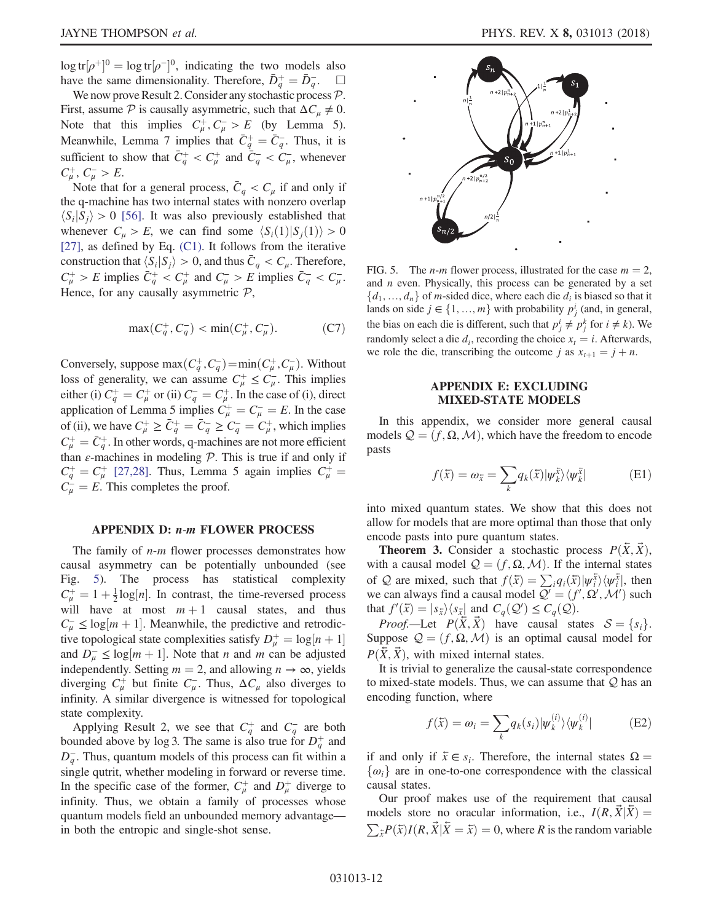$\log tr[\rho^+]$  $]0 = \log tr[\rho^-]$ <br>same dimens  $]0$ , indicating the two models also have the same dimensionality. Therefore,  $\bar{D}_q^+ = \bar{D}_q^-$ .  $\square$ <br>We now prove Result 2. Consider any stochastic process  $\mathcal{D}_q$ .

We now prove Result 2. Consider any stochastic process  $P$ . First, assume  $P$  is causally asymmetric, such that  $\Delta C_u \neq 0$ . Note that this implies  $C^+_\mu, C^-_\mu > E$  (by Lemma 5). Meanwhile, Lemma 7 implies that  $\bar{C}_q^+ = \bar{C}_q^-$ . Thus, it is explicient to show that  $\bar{C}_q^+ \leq C_1^+$  and  $\bar{C}_q^- \leq C_2^-$  whenever sufficient to show that  $\overline{C}_q^+ < C_\mu^+$  and  $\overline{C}_q^- < C_\mu^-$ , whenever  $C_{\mu}^{+}$ ,  $C_{\mu}^{-}$  > E.

Note that for a general process,  $\overline{C}_q < C_\mu$  if and only if the q-machine has two internal states with nonzero overlap  $\langle S_i|S_j\rangle > 0$  [\[56\].](#page-14-1) It was also previously established that whenever  $C_u > E$ , we can find some  $\langle S_i(1)|S_i(1)\rangle > 0$ [\[27\]](#page-13-4), as defined by Eq. [\(C1\)](#page-10-0). It follows from the iterative construction that  $\langle S_i|S_j\rangle > 0$ , and thus  $\overline{C}_q < C_\mu$ . Therefore,  $C^+_\mu > E$  implies  $\bar{C}^+_q < C^+_\mu$  and  $C^-_\mu > E$  implies  $\bar{C}^-_q < C^-_\mu$ . Hence, for any causally asymmetric  $P$ ,

$$
\max(C_q^+, C_q^-) < \min(C_\mu^+, C_\mu^-). \tag{C7}
$$

Conversely, suppose  $\max(C_q^+, C_q^-) = \min(C_\mu^+, C_\mu^-)$ . Without  $\log_{10}$  of generality, we can assume  $C^+ < C^-$ . This implies loss of generality, we can assume  $C^+_{\mu} \leq C^-_{\mu}$ . This implies either (i)  $C_q^+ = C_\mu^+$  or (ii)  $C_q^- = C_\mu^+$ . In the case of (i), direct<br>application of Lamma 5 implies  $C_1^+ = C_2^- = F$ . In the case application of Lemma 5 implies  $C_{\mu}^{+} = C_{\mu}^{-} = E$ . In the case<br>of (ii) we have  $C_{\mu}^{+} > \bar{C}_{\mu}^{+} - \bar{C}_{\mu}^{-} > C_{\mu}^{-} - C_{\mu}^{+}$  which implies of (ii), we have  $C_{\mu}^{+} \geq \bar{C}_{q}^{+} = \bar{C}_{q}^{-} \geq C_{q}^{-} = C_{\mu}^{+}$ , which implies  $C_{\tau}^{+} = \bar{C}_{\tau}^{+}$ . In other words g most inseg are not more of figure  $C_{\mu}^{+} = \bar{C}_{q}^{+}$ . In other words, q-machines are not more efficient<br>than c machines in modeling  $\mathcal{D}$ . This is true if and only if than  $\varepsilon$ -machines in modeling  $P$ . This is true if and only if  $C_q^+ = C_\mu^+$  [\[27,28\].](#page-13-4) Thus, Lemma 5 again implies  $C_\mu^+ = C_\mu^-$  This completes the proof  $C_{\mu}^{\perp} = E$ . This completes the proof.

## <span id="page-11-0"></span>APPENDIX D: n-m FLOWER PROCESS

The family of  $n-m$  flower processes demonstrates how causal asymmetry can be potentially unbounded (see Fig. [5\)](#page-11-2). The process has statistical complexity  $C_{\mu}^{+} = 1 + \frac{1}{2} \log[n]$ . In contrast, the time-reversed process will have at most  $m + 1$  causal states, and thus  $C_{\mu}^- \leq \log[m+1]$ . Meanwhile, the predictive and retrodictive topological state complexities satisfy  $D^+ = \log[n+1]$ tive topological state complexities satisfy  $D_{\mu}^{+} = \log[n+1]$ <br>and  $D \leq \log[m+1]$ . Note that n and m can be adjusted and  $D_{\mu}^{-} \le \log[m+1]$ . Note that *n* and *m* can be adjusted<br>independently Setting  $m = 2$  and allowing *n*  $\rightarrow \infty$  yields independently. Setting  $m = 2$ , and allowing  $n \to \infty$ , yields diverging  $C^+_{\mu}$  but finite  $C^-_{\mu}$ . Thus,  $\Delta C_{\mu}$  also diverges to infinity. A similar divergence is witnessed for topological state complexity.

Applying Result 2, we see that  $C_q^+$  and  $C_q^-$  are both bounded above by log 3. The same is also true for  $D_q^+$  and  $D_{a}^{-}$ . Thus, quantum models of this process can fit within a single qutrit, whether modeling in forward or reverse time. In the specific case of the former,  $C^{\dagger}_{\mu}$  and  $D^{\dagger}_{\mu}$  diverge to infinity. Thus, we obtain a family of processes whose quantum models field an unbounded memory advantage in both the entropic and single-shot sense.

<span id="page-11-2"></span>

FIG. 5. The *n-m* flower process, illustrated for the case  $m = 2$ , and n even. Physically, this process can be generated by a set  $\{d_1, ..., d_n\}$  of *m*-sided dice, where each die  $d_i$  is biased so that it lands on side  $j \in \{1, ..., m\}$  with probability  $p_j^i$  (and, in general, the bias on each die is different, such that  $p_i^i \neq p_i^k$  for  $i \neq k$ ). We randomly select a die  $d_i$ , recording the choice  $x_t = i$ . Afterwards, we role the die, transcribing the outcome j as  $x_{t+1} = j + n$ .

## APPENDIX E: EXCLUDING MIXED-STATE MODELS

<span id="page-11-1"></span>In this appendix, we consider more general causal models  $Q = (f, \Omega, \mathcal{M})$ , which have the freedom to encode pasts

$$
f(\bar{x}) = \omega_{\bar{x}} = \sum_{k} q_k(\bar{x}) |\psi_k^{\bar{x}}\rangle \langle \psi_k^{\bar{x}}|
$$
 (E1)

into mixed quantum states. We show that this does not allow for models that are more optimal than those that only encode pasts into pure quantum states.

**Theorem 3.** Consider a stochastic process  $P(\bar{X}, \bar{X})$ , with a causal model  $\mathcal{Q} = (f, \Omega, \mathcal{M})$ . If the internal states of Q are mixed, such that  $f(\bar{x}) = \sum_i q_i(\bar{x}) |\psi_i^{\bar{x}}\rangle \langle \psi_i^{\bar{x}}|$ , then<br>we can always find a causal model  $O' - (f' O' M')$  such we can always find a causal model  $Q' = (f', \Omega', \mathcal{M}')$  such that  $f'(\overline{x}) = |s_1\rangle \langle s_2|$  and  $C(\Omega') \leq C(\Omega)$ that  $f'(\bar{x}) = |s_{\bar{x}}\rangle\langle s_{\bar{x}}|$  and  $C_q(\mathcal{Q}') \leq C_q(\mathcal{Q})$ .<br>Proof Let  $P(\bar{Y}, \bar{Y})$  have causal state

*Proof.*—Let  $P(X, X)$  have causal states  $S = \{s_i\}.$ Suppose  $\mathcal{Q} = (f, \Omega, \mathcal{M})$  is an optimal causal model for  $P(\bar{X}, \bar{X})$ , with mixed internal states.

It is trivial to generalize the causal-state correspondence to mixed-state models. Thus, we can assume that  $Q$  has an encoding function, where

$$
f(\bar{x}) = \omega_i = \sum_k q_k(s_i) |\psi_k^{(i)}\rangle\langle\psi_k^{(i)}|
$$
 (E2)

if and only if  $\bar{x} \in s_i$ . Therefore, the internal states  $\Omega =$  $\{\omega_i\}$  are in one-to-one correspondence with the classical causal states.

Our proof makes use of the requirement that causal models store no oracular information, i.e.,  $I(R, X|X) =$  $\sum_{\bar{x}} P(\bar{x}) I(R, \vec{X} | \vec{X} = \bar{x}) = 0$ , where R is the random variable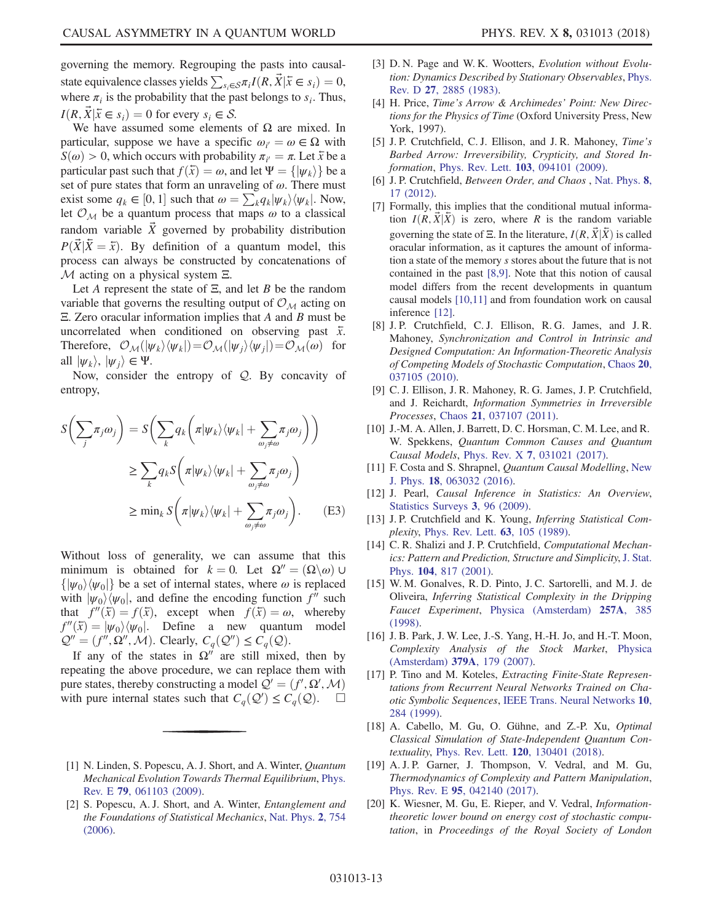governing the memory. Regrouping the pasts into causalstate equivalence classes yields  $\sum_{s_i \in \mathcal{S}} \pi_i I(R, \vec{X} | \vec{x} \in s_i) = 0$ , where  $\pi_i$  is the probability that the past belongs to  $s_i$ . Thus,  $I(R, \vec{X} | \vec{x} \in s_i) = 0$  for every  $s_i \in S$ .

We have assumed some elements of  $\Omega$  are mixed. In particular, suppose we have a specific  $\omega_{i'} = \omega \in \Omega$  with  $S(\omega) > 0$  which occurs with probability  $\pi_{i'} = \pi$ . Let  $\bar{x}$  be a  $S(\omega) > 0$ , which occurs with probability  $\pi_{i'} = \pi$ . Let  $\bar{x}$  be a particular past such that  $f(\bar{x}) = \omega$  and let  $\Psi = f(\omega)$ .) be a particular past such that  $f(\bar{x}) = \omega$ , and let  $\Psi = {\vert \psi_k \rangle}$  be a set of pure states that form an unraveling of  $\omega$ . There must exist some  $q_k \in [0, 1]$  such that  $\omega = \sum_k q_k |\psi_k\rangle\langle\psi_k|$ . Now, let  $\mathcal{O}_{\mathcal{X}}$  be a quantum process that maps  $\omega$  to a classical let  $\mathcal{O}_\mathcal{M}$  be a quantum process that maps  $\omega$  to a classical random variable  $\vec{X}$  governed by probability distribution  $P(\vec{X}|\vec{X} = \vec{x})$ . By definition of a quantum model, this process can always be constructed by concatenations of  $M$  acting on a physical system  $\Xi$ .

Let A represent the state of  $\Xi$ , and let B be the random variable that governs the resulting output of  $\mathcal{O}_M$  acting on Ξ. Zero oracular information implies that A and B must be uncorrelated when conditioned on observing past  $\bar{x}$ . Therefore,  $\mathcal{O}_\mathcal{M}(|\psi_k\rangle\langle\psi_k|)=\mathcal{O}_\mathcal{M}(|\psi_i\rangle\langle\psi_i|)=\mathcal{O}_\mathcal{M}(\omega)$  for all  $|\psi_k\rangle$ ,  $|\psi_i\rangle \in \Psi$ .

Now, consider the entropy of Q. By concavity of entropy,

$$
S\left(\sum_{j} \pi_{j} \omega_{j}\right) = S\left(\sum_{k} q_{k} \left(\pi |\psi_{k}\rangle\langle\psi_{k}| + \sum_{\omega_{j} \neq \omega} \pi_{j} \omega_{j}\right)\right)
$$

$$
\geq \sum_{k} q_{k} S\left(\pi |\psi_{k}\rangle\langle\psi_{k}| + \sum_{\omega_{j} \neq \omega} \pi_{j} \omega_{j}\right)
$$

$$
\geq \min_{k} S\left(\pi |\psi_{k}\rangle\langle\psi_{k}| + \sum_{\omega_{j} \neq \omega} \pi_{j} \omega_{j}\right).
$$
 (E3)

Without loss of generality, we can assume that this minimum is obtained for  $k = 0$ . Let  $\Omega'' = (\Omega \backslash \omega) \cup$  $\{|\psi_0\rangle\langle\psi_0|\}$  be a set of internal states, where  $\omega$  is replaced with  $|\psi_0\rangle\langle\psi_0|$ , and define the encoding function  $f''$  such that  $f''(\bar{x}) = f(\bar{x})$ , except when  $f(\bar{x}) = \omega$ , whereby  $f''(\bar{x}) = |\psi_0\rangle\langle\psi_0|$ . Define a new quantum model  $Q'' = (f'', \Omega'', \mathcal{M})$ . Clearly,  $C_q(Q'') \leq C_q(Q)$ .

If any of the states in  $\Omega''$  are still mixed, then by repeating the above procedure, we can replace them with pure states, thereby constructing a model  $\mathcal{Q}' = (f', \mathbf{\Omega}', \mathcal{M})$ <br>with pure internal states such that  $C(\mathcal{Q}') < C(\mathcal{Q})$ with pure internal states such that  $C_q(\mathcal{Q}') \leq C_q(\mathcal{Q})$ .  $\Box$ 

- <span id="page-12-0"></span>[1] N. Linden, S. Popescu, A. J. Short, and A. Winter, *Quantum* Mechanical Evolution Towards Thermal Equilibrium, [Phys.](https://doi.org/10.1103/PhysRevE.79.061103) Rev. E 79[, 061103 \(2009\)](https://doi.org/10.1103/PhysRevE.79.061103).
- [2] S. Popescu, A. J. Short, and A. Winter, Entanglement and the Foundations of Statistical Mechanics, [Nat. Phys.](https://doi.org/10.1038/nphys444) 2, 754 [\(2006\).](https://doi.org/10.1038/nphys444)
- [3] D. N. Page and W. K. Wootters, Evolution without Evolution: Dynamics Described by Stationary Observables, [Phys.](https://doi.org/10.1103/PhysRevD.27.2885) Rev. D 27[, 2885 \(1983\).](https://doi.org/10.1103/PhysRevD.27.2885)
- [4] H. Price, Time's Arrow & Archimedes' Point: New Directions for the Physics of Time (Oxford University Press, New York, 1997).
- <span id="page-12-1"></span>[5] J. P. Crutchfield, C. J. Ellison, and J. R. Mahoney, Time's Barbed Arrow: Irreversibility, Crypticity, and Stored Information, Phys. Rev. Lett. **103**[, 094101 \(2009\).](https://doi.org/10.1103/PhysRevLett.103.094101)
- <span id="page-12-2"></span>[6] J. P. Crutchfield, *Between Order, and Chaos*, [Nat. Phys.](https://doi.org/10.1038/nphys2190) 8, [17 \(2012\).](https://doi.org/10.1038/nphys2190)
- <span id="page-12-3"></span>[7] Formally, this implies that the conditional mutual information  $I(R, \vec{X} | \vec{X})$  is zero, where R is the random variable governing the state of Ξ. In the literature,  $I(R, \vec{X} | \vec{X})$  is called oracular information, as it captures the amount of information a state of the memory s stores about the future that is not contained in the past [\[8,9\]](#page-12-8). Note that this notion of causal model differs from the recent developments in quantum causal models [\[10,11\]](#page-12-10) and from foundation work on causal inference [\[12\].](#page-12-11)
- <span id="page-12-8"></span>[8] J. P. Crutchfield, C. J. Ellison, R. G. James, and J. R. Mahoney, Synchronization and Control in Intrinsic and Designed Computation: An Information-Theoretic Analysis of Competing Models of Stochastic Computation, [Chaos](https://doi.org/10.1063/1.3489888) 20, [037105 \(2010\).](https://doi.org/10.1063/1.3489888)
- [9] C. J. Ellison, J. R. Mahoney, R. G. James, J. P. Crutchfield, and J. Reichardt, Information Symmetries in Irreversible Processes, Chaos 21[, 037107 \(2011\)](https://doi.org/10.1063/1.3637490).
- <span id="page-12-10"></span>[10] J.-M. A. Allen, J. Barrett, D. C. Horsman, C. M. Lee, and R. W. Spekkens, Quantum Common Causes and Quantum Causal Models, Phys. Rev. X 7[, 031021 \(2017\)](https://doi.org/10.1103/PhysRevX.7.031021).
- [11] F. Costa and S. Shrapnel, Quantum Causal Modelling, [New](https://doi.org/10.1088/1367-2630/18/6/063032) J. Phys. 18[, 063032 \(2016\)](https://doi.org/10.1088/1367-2630/18/6/063032).
- <span id="page-12-11"></span>[12] J. Pearl, Causal Inference in Statistics: An Overview, [Statistics Surveys](https://doi.org/10.1214/09-SS057) 3, 96 (2009).
- <span id="page-12-4"></span>[13] J.P. Crutchfield and K. Young, Inferring Statistical Complexity, [Phys. Rev. Lett.](https://doi.org/10.1103/PhysRevLett.63.105) 63, 105 (1989).
- <span id="page-12-9"></span>[14] C. R. Shalizi and J. P. Crutchfield, Computational Mechanics: Pattern and Prediction, Structure and Simplicity, [J. Stat.](https://doi.org/10.1023/A:1010388907793) Phys. 104[, 817 \(2001\).](https://doi.org/10.1023/A:1010388907793)
- <span id="page-12-5"></span>[15] W. M. Gonalves, R. D. Pinto, J. C. Sartorelli, and M. J. de Oliveira, Inferring Statistical Complexity in the Dripping Faucet Experiment, [Physica \(Amsterdam\)](https://doi.org/10.1016/S0378-4371(98)00164-2) 257A, 385 [\(1998\).](https://doi.org/10.1016/S0378-4371(98)00164-2)
- [16] J. B. Park, J. W. Lee, J.-S. Yang, H.-H. Jo, and H.-T. Moon, Complexity Analysis of the Stock Market, [Physica](https://doi.org/10.1016/j.physa.2006.12.042) [\(Amsterdam\)](https://doi.org/10.1016/j.physa.2006.12.042) 379A, 179 (2007).
- [17] P. Tino and M. Koteles, *Extracting Finite-State Represen*tations from Recurrent Neural Networks Trained on Chaotic Symbolic Sequences, [IEEE Trans. Neural Networks](https://doi.org/10.1109/72.750555) 10, [284 \(1999\)](https://doi.org/10.1109/72.750555).
- <span id="page-12-6"></span>[18] A. Cabello, M. Gu, O. Gühne, and Z.-P. Xu, Optimal Classical Simulation of State-Independent Quantum Contextuality, Phys. Rev. Lett. 120[, 130401 \(2018\).](https://doi.org/10.1103/PhysRevLett.120.130401)
- <span id="page-12-7"></span>[19] A. J. P. Garner, J. Thompson, V. Vedral, and M. Gu, Thermodynamics of Complexity and Pattern Manipulation, Phys. Rev. E 95[, 042140 \(2017\)](https://doi.org/10.1103/PhysRevE.95.042140).
- [20] K. Wiesner, M. Gu, E. Rieper, and V. Vedral, *Information*theoretic lower bound on energy cost of stochastic computation, in Proceedings of the Royal Society of London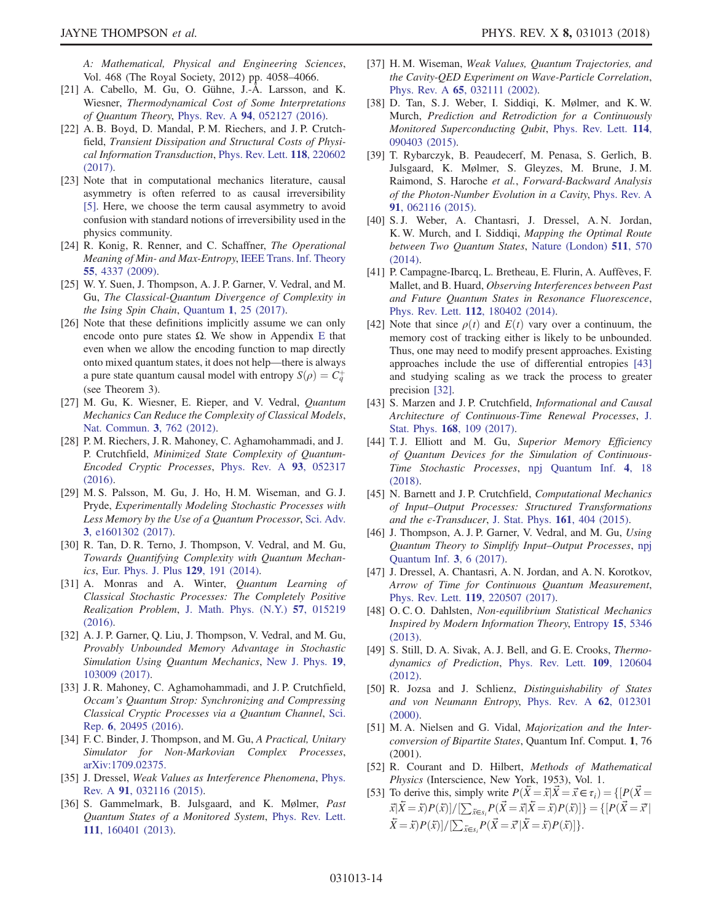JAYNE THOMPSON *et al. PHYS. REV. X 8, 031013 (2018)* 

A: Mathematical, Physical and Engineering Sciences, Vol. 468 (The Royal Society, 2012) pp. 4058–4066.

- <span id="page-13-11"></span>[21] A. Cabello, M. Gu, O. Gühne, J.-Å. Larsson, and K. Wiesner, Thermodynamical Cost of Some Interpretations of Quantum Theory, Phys. Rev. A 94[, 052127 \(2016\).](https://doi.org/10.1103/PhysRevA.94.052127)
- [22] A. B. Boyd, D. Mandal, P. M. Riechers, and J. P. Crutchfield, Transient Dissipation and Structural Costs of Physical Information Transduction, [Phys. Rev. Lett.](https://doi.org/10.1103/PhysRevLett.118.220602) 118, 220602 [\(2017\).](https://doi.org/10.1103/PhysRevLett.118.220602)
- <span id="page-13-0"></span>[23] Note that in computational mechanics literature, causal asymmetry is often referred to as causal irreversibility [\[5\].](#page-12-1) Here, we choose the term causal asymmetry to avoid confusion with standard notions of irreversibility used in the physics community.
- <span id="page-13-1"></span>[24] R. Konig, R. Renner, and C. Schaffner, *The Operational* Meaning of Min- and Max-Entropy, [IEEE Trans. Inf. Theory](https://doi.org/10.1109/TIT.2009.2025545) 55[, 4337 \(2009\)](https://doi.org/10.1109/TIT.2009.2025545).
- <span id="page-13-2"></span>[25] W. Y. Suen, J. Thompson, A. J. P. Garner, V. Vedral, and M. Gu, The Classical-Quantum Divergence of Complexity in the Ising Spin Chain, Quantum 1[, 25 \(2017\).](https://doi.org/10.22331/q-2017-08-11-25)
- <span id="page-13-3"></span>[26] Note that these definitions implicitly assume we can only encode onto pure states  $\Omega$ . We show in Appendix [E](#page-11-1) that even when we allow the encoding function to map directly onto mixed quantum states, it does not help—there is always a pure state quantum causal model with entropy  $S(\rho) = \dot{C}_q^+$ (see Theorem 3).
- <span id="page-13-4"></span>[27] M. Gu, K. Wiesner, E. Rieper, and V. Vedral, Quantum Mechanics Can Reduce the Complexity of Classical Models, [Nat. Commun.](https://doi.org/10.1038/ncomms1761) 3, 762 (2012).
- <span id="page-13-19"></span>[28] P. M. Riechers, J. R. Mahoney, C. Aghamohammadi, and J. P. Crutchfield, Minimized State Complexity of Quantum-Encoded Cryptic Processes, [Phys. Rev. A](https://doi.org/10.1103/PhysRevA.93.052317) 93, 052317 [\(2016\).](https://doi.org/10.1103/PhysRevA.93.052317)
- <span id="page-13-13"></span>[29] M. S. Palsson, M. Gu, J. Ho, H. M. Wiseman, and G. J. Pryde, Experimentally Modeling Stochastic Processes with Less Memory by the Use of a Quantum Processor, [Sci. Adv.](https://doi.org/10.1126/sciadv.1601302) 3[, e1601302 \(2017\)](https://doi.org/10.1126/sciadv.1601302).
- [30] R. Tan, D. R. Terno, J. Thompson, V. Vedral, and M. Gu, Towards Quantifying Complexity with Quantum Mechanics, [Eur. Phys. J. Plus](https://doi.org/10.1140/epjp/i2014-14191-2) 129, 191 (2014).
- [31] A. Monras and A. Winter, Quantum Learning of Classical Stochastic Processes: The Completely Positive Realization Problem, [J. Math. Phys. \(N.Y.\)](https://doi.org/10.1063/1.4936935) 57, 015219 [\(2016\).](https://doi.org/10.1063/1.4936935)
- <span id="page-13-5"></span>[32] A. J. P. Garner, Q. Liu, J. Thompson, V. Vedral, and M. Gu, Provably Unbounded Memory Advantage in Stochastic Simulation Using Quantum Mechanics, [New J. Phys.](https://doi.org/10.1088/1367-2630/aa82df) 19, [103009 \(2017\).](https://doi.org/10.1088/1367-2630/aa82df)
- <span id="page-13-6"></span>[33] J. R. Mahoney, C. Aghamohammadi, and J. P. Crutchfield, Occam's Quantum Strop: Synchronizing and Compressing Classical Cryptic Processes via a Quantum Channel, [Sci.](https://doi.org/10.1038/srep20495) Rep. 6[, 20495 \(2016\)](https://doi.org/10.1038/srep20495).
- <span id="page-13-14"></span>[34] F. C. Binder, J. Thompson, and M. Gu, A Practical, Unitary Simulator for Non-Markovian Complex Processes, [arXiv:1709.02375.](http://arXiv.org/abs/1709.02375)
- <span id="page-13-7"></span>[35] J. Dressel, Weak Values as Interference Phenomena, [Phys.](https://doi.org/10.1103/PhysRevA.91.032116) Rev. A 91[, 032116 \(2015\)](https://doi.org/10.1103/PhysRevA.91.032116).
- [36] S. Gammelmark, B. Julsgaard, and K. Mølmer, Past Quantum States of a Monitored System, [Phys. Rev. Lett.](https://doi.org/10.1103/PhysRevLett.111.160401) 111[, 160401 \(2013\).](https://doi.org/10.1103/PhysRevLett.111.160401)
- [37] H. M. Wiseman, Weak Values, Quantum Trajectories, and the Cavity-QED Experiment on Wave-Particle Correlation, Phys. Rev. A 65[, 032111 \(2002\)](https://doi.org/10.1103/PhysRevA.65.032111).
- <span id="page-13-8"></span>[38] D. Tan, S. J. Weber, I. Siddiqi, K. Mølmer, and K. W. Murch, Prediction and Retrodiction for a Continuously Monitored Superconducting Qubit, [Phys. Rev. Lett.](https://doi.org/10.1103/PhysRevLett.114.090403) 114, [090403 \(2015\).](https://doi.org/10.1103/PhysRevLett.114.090403)
- [39] T. Rybarczyk, B. Peaudecerf, M. Penasa, S. Gerlich, B. Julsgaard, K. Mølmer, S. Gleyzes, M. Brune, J. M. Raimond, S. Haroche et al., Forward-Backward Analysis of the Photon-Number Evolution in a Cavity, [Phys. Rev. A](https://doi.org/10.1103/PhysRevA.91.062116) 91[, 062116 \(2015\).](https://doi.org/10.1103/PhysRevA.91.062116)
- [40] S. J. Weber, A. Chantasri, J. Dressel, A. N. Jordan, K. W. Murch, and I. Siddiqi, Mapping the Optimal Route between Two Quantum States, [Nature \(London\)](https://doi.org/10.1038/nature13559) 511, 570 [\(2014\).](https://doi.org/10.1038/nature13559)
- [41] P. Campagne-Ibarcq, L. Bretheau, E. Flurin, A. Auffèves, F. Mallet, and B. Huard, Observing Interferences between Past and Future Quantum States in Resonance Fluorescence, Phys. Rev. Lett. 112[, 180402 \(2014\).](https://doi.org/10.1103/PhysRevLett.112.180402)
- <span id="page-13-9"></span>[42] Note that since  $\rho(t)$  and  $E(t)$  vary over a continuum, the memory cost of tracking either is likely to be unbounded. Thus, one may need to modify present approaches. Existing approaches include the use of differential entropies [\[43\]](#page-13-10) and studying scaling as we track the process to greater precision [\[32\]](#page-13-5).
- <span id="page-13-10"></span>[43] S. Marzen and J. P. Crutchfield, *Informational and Causal* Architecture of Continuous-Time Renewal Processes, [J.](https://doi.org/10.1007/s10955-017-1793-z) Stat. Phys. 168[, 109 \(2017\).](https://doi.org/10.1007/s10955-017-1793-z)
- [44] T. J. Elliott and M. Gu, Superior Memory Efficiency of Quantum Devices for the Simulation of Continuous-Time Stochastic Processes, [npj Quantum Inf.](https://doi.org/10.1038/s41534-018-0064-4) 4, 18 [\(2018\).](https://doi.org/10.1038/s41534-018-0064-4)
- [45] N. Barnett and J. P. Crutchfield, Computational Mechanics of Input–Output Processes: Structured Transformations and the  $\epsilon$ -Transducer, [J. Stat. Phys.](https://doi.org/10.1007/s10955-015-1327-5) 161, 404 (2015).
- [46] J. Thompson, A. J. P. Garner, V. Vedral, and M. Gu, Using Quantum Theory to Simplify Input–Output Processes, [npj](https://doi.org/10.1038/s41534-016-0001-3) [Quantum Inf.](https://doi.org/10.1038/s41534-016-0001-3) 3, 6 (2017).
- <span id="page-13-12"></span>[47] J. Dressel, A. Chantasri, A. N. Jordan, and A. N. Korotkov, Arrow of Time for Continuous Quantum Measurement, Phys. Rev. Lett. 119[, 220507 \(2017\).](https://doi.org/10.1103/PhysRevLett.119.220507)
- [48] O.C.O. Dahlsten, Non-equilibrium Statistical Mechanics Inspired by Modern Information Theory, [Entropy](https://doi.org/10.3390/e15125346) 15, 5346 [\(2013\).](https://doi.org/10.3390/e15125346)
- [49] S. Still, D. A. Sivak, A. J. Bell, and G. E. Crooks, *Thermo*dynamics of Prediction, [Phys. Rev. Lett.](https://doi.org/10.1103/PhysRevLett.109.120604) 109, 120604  $(2012)$
- <span id="page-13-15"></span>[50] R. Jozsa and J. Schlienz, Distinguishability of States and von Neumann Entropy, [Phys. Rev. A](https://doi.org/10.1103/PhysRevA.62.012301) 62, 012301 [\(2000\).](https://doi.org/10.1103/PhysRevA.62.012301)
- <span id="page-13-16"></span>[51] M. A. Nielsen and G. Vidal, *Majorization and the Inter*conversion of Bipartite States, Quantum Inf. Comput. 1, 76 (2001).
- <span id="page-13-18"></span><span id="page-13-17"></span>[52] R. Courant and D. Hilbert, Methods of Mathematical Physics (Interscience, New York, 1953), Vol. 1.
- [53] To derive this, simply write  $P(\bar{X} = \bar{x} | \bar{X} = \bar{x} \in \tau_i) = \{ [P(\bar{X} = \bar{X} \cap \bar{X} = \bar{X} \cap \bar{X} = \bar{X} \cap \bar{X} = \bar{x} \in \tau_i) \}$  $\vec{x}|\vec{X}=\vec{x}P(\vec{x})]/[\sum_{\vec{x}\in S_i}P(\vec{X}=\vec{x}|\vec{X}=\vec{x})P(\vec{x})]\} = \{[P(\vec{X}=\vec{x}|\vec{x}|\vec{x}=\vec{x})]$  $\bar{X} = \bar{x} P(\bar{x}) / \left[ \sum_{\bar{x} \in s_i} P(\bar{X} = \bar{x}' | \bar{X} = \bar{x}) P(\bar{x}) \right].$